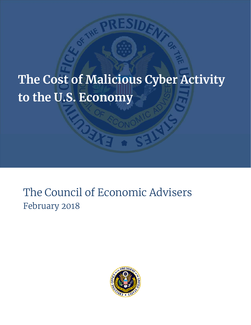# **The Cost of Malicious Cyber Activity to the U.S. Economy**

# The Council of Economic Advisers February 2018

ひょ

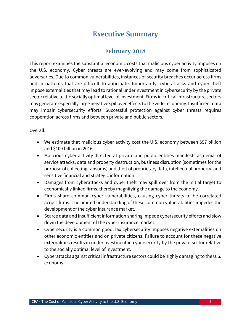# **Executive Summary**

# **February 2018**

This report examines the substantial economic costs that malicious cyber activity imposes on the U.S. economy. Cyber threats are ever-evolving and may come from sophisticated adversaries. Due to common vulnerabilities, instances of security breaches occur across firms and in patterns that are difficult to anticipate. Importantly, cyberattacks and cyber theft impose externalities that may lead to rational underinvestment in cybersecurity by the private sector relative to the socially optimal level of investment. Firms in critical infrastructure sectors may generate especially large negative spillover effects to the wider economy. Insufficient data may impair cybersecurity efforts. Successful protection against cyber threats requires cooperation across firms and between private and public sectors.

#### Overall:

- We estimate that malicious cyber activity cost the U.S. economy between \$57 billion and \$109 billion in 2016.
- Malicious cyber activity directed at private and public entities manifests as denial of service attacks, data and property destruction, business disruption (sometimes for the purpose of collecting ransoms) and theft of proprietary data, intellectual property, and sensitive financial and strategic information.
- Damages from cyberattacks and cyber theft may spill over from the initial target to economically linked firms, thereby magnifying the damage to the economy.
- Firms share common cyber vulnerabilities, causing cyber threats to be correlated across firms. The limited understanding of these common vulnerabilities impedes the development of the cyber insurance market.
- Scarce data and insufficient information sharing impede cybersecurity efforts and slow down the development of the cyber insurance market.
- Cybersecurity is a common good; lax cybersecurity imposes negative externalities on other economic entities and on private citizens. Failure to account for these negative externalities results in underinvestment in cybersecurity by the private sector relative to the socially optimal level of investment.
- Cyberattacks against critical infrastructure sectors could be highly damaging to the U.S. economy.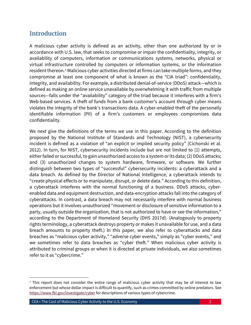# **Introduction**

A malicious cyber activity is defined as an activity, other than one authorized by or in accordance with U.S. law, that seeks to compromise or impair the confidentiality, integrity, or availability of computers, information or communications systems, networks, physical or virtual infrastructure controlled by computers or information systems, or the information resident thereon. [1](#page-2-0) Malicious cyber activities directed at firms can take multiple forms, and they compromise at least one component of what is known as the "CIA triad": confidentiality, integrity, and availability. For example, a distributed denial-of-service (DDoS) attack—which is defined as making an online service unavailable by overwhelming it with traffic from multiple sources—falls under the "availability" category of the triad because it interferes with a firm's Web-based services. A theft of funds from a bank customer's account through cyber means violates the integrity of the bank's transactions data. A cyber-enabled theft of the personally identifiable information (PII) of a firm's customers or employees compromises data confidentiality.

We next give the definitions of the terms we use in this paper. According to the definition proposed by the National Institute of Standards and Technology (NIST), a cybersecurity incident is defined as a violation of "an explicit or implied security policy" (Cichonski et al. 2012). In turn, for NIST, cybersecurity incidents include but are not limited to (1) attempts, either failed or successful, to gain unauthorized access to a system or its data; (2) DDoS attacks; and (3) unauthorized changes to system hardware, firmware, or software. We further distinguish between two types of "successful" cybersecurity incidents: a cyberattack and a data breach. As defined by the Director of National Intelligence, a cyberattack intends to "create physical effects or to manipulate, disrupt, or delete data." According to this definition, a cyberattack interferes with the normal functioning of a business. DDoS attacks, cyberenabled data and equipment destruction, and data-encryption attacks fall into the category of cyberattacks. In contrast, a data breach may not necessarily interfere with normal business operations but it involves unauthorized "movement or disclosure of sensitive information to a party, usually outside the organization, that is not authorized to have or see the information," according to the Department of Homeland Security (DHS 2017d). (Analogously to property rights terminology, a cyberattack destroys property or makes it unavailable for use, and a data breach amounts to property theft.) In this paper, we also refer to cyberattacks and data breaches as "malicious cyber activity," "adverse cyber events," simply as "cyber events," and we sometimes refer to data breaches as "cyber theft." When malicious cyber activity is attributed to criminal groups or when it is directed at private individuals, we also sometimes refer to it as "cybercrime."

<span id="page-2-0"></span> $1$  This report does not consider the entire range of malicious cyber activity that may be of interest to law enforcement but whose dollar impact is difficult to quantify, such as crimes committed by online predators. See <https://www.fbi.gov/investigate/cyber> for descriptions of various types of cybercrime.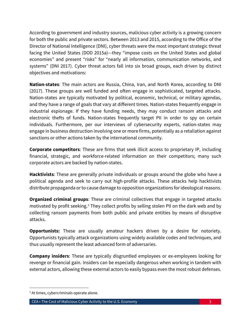According to government and industry sources, malicious cyber activity is a growing concern for both the public and private sectors. Between 2013 and 2015, according to the Office of the Director of National Intelligence (DNI), cyber threats were the most important strategic threat facing the United States (DOD 2015a)—they "impose costs on the United States and global economies" and present "risks" for "nearly all information, communication networks, and systems" (DNI 2017). Cyber threat actors fall into six broad groups, each driven by distinct objectives and motivations:

**Nation-states**: The main actors are Russia, China, Iran, and North Korea, according to DNI (2017). These groups are well funded and often engage in sophisticated, targeted attacks. Nation-states are typically motivated by political, economic, technical, or military agendas, and they have a range of goals that vary at different times. Nation-states frequently engage in industrial espionage. If they have funding needs, they may conduct ransom attacks and electronic thefts of funds. Nation-states frequently target PII in order to spy on certain individuals. Furthermore, per our interviews of cybersecurity experts, nation-states may engage in business destruction involving one or more firms, potentially as a retaliation against sanctions or other actions taken by the international community.

**Corporate competitors**: These are firms that seek illicit access to proprietary IP, including financial, strategic, and workforce-related information on their competitors; many such corporate actors are backed by nation-states.

**Hacktivists**: These are generally private individuals or groups around the globe who have a political agenda and seek to carry out high-profile attacks. These attacks help hacktivists distribute propaganda or to cause damage to opposition organizations for ideological reasons.

**Organized criminal groups**: These are criminal collectives that engage in targeted attacks motivated by profit seeking.<sup>[2](#page-3-0)</sup> They collect profits by selling stolen PII on the dark web and by collecting ransom payments from both public and private entities by means of disruptive attacks.

**Opportunists:** These are usually amateur hackers driven by a desire for notoriety. Opportunists typically attack organizations using widely available codes and techniques, and thus usually represent the least advanced form of adversaries.

**Company insiders**: These are typically disgruntled employees or ex-employees looking for revenge or financial gain. Insiders can be especially dangerous when working in tandem with external actors, allowing these external actors to easily bypass even the most robust defenses.

<span id="page-3-0"></span><sup>&</sup>lt;sup>2</sup> At times, cybercriminals operate alone.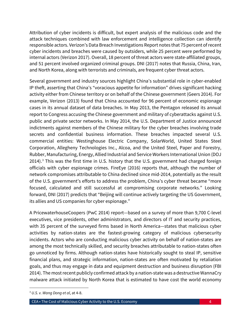Attribution of cyber incidents is difficult, but expert analysis of the malicious code and the attack techniques combined with law enforcement and intelligence collection can identify responsible actors. Verizon's Data Breach Investigations Report notes that 75 percent of recent cyber incidents and breaches were caused by outsiders, while 25 percent were performed by internal actors (Verizon 2017). Overall, 18 percent of threat actors were state-affiliated groups, and 51 percent involved organized criminal groups. DNI (2017) notes that Russia, China, Iran, and North Korea, along with terrorists and criminals, are frequent cyber threat actors.

Several government and industry sources highlight China's substantial role in cyber-enabled IP theft, asserting that China's "voracious appetite for information" drives significant hacking activity either from Chinese territory or on behalf of the Chinese government (Geers 2014). For example, Verizon (2013) found that China accounted for 96 percent of economic espionage cases in its annual dataset of data breaches. In May 2013, the Pentagon released its annual report to Congress accusing the Chinese government and military of cyberattacks against U.S. public and private sector networks. In May 2014, the U.S. Department of Justice announced indictments against members of the Chinese military for the cyber breaches involving trade secrets and confidential business information. These breaches impacted several U.S. commercial entities: Westinghouse Electric Company, SolarWorld, United States Steel Corporation, Allegheny Technologies Inc., Alcoa, and the United Steel, Paper and Forestry, Rubber, Manufacturing, Energy, Allied Industrial and Service Workers International Union (DOJ 2014).<sup>[3](#page-4-0)</sup> This was the first time in U.S. history that the U.S. government had charged foreign officials with cyber espionage crimes. FireEye (2016) reports that, although the number of network compromises attributable to China declined since mid-2014, potentially as the result of the U.S. government's efforts to address the problem, China's cyber threat became "more focused, calculated and still successful at compromising corporate networks." Looking forward, DNI (2017) predicts that "Beijing will continue actively targeting the US Government, its allies and US companies for cyber espionage."

A PricewaterhouseCoopers (PwC 2014) report—based on a survey of more than 9,700 C-level executives, vice presidents, other administrators, and directors of IT and security practices, with 35 percent of the surveyed firms based in North America—states that malicious cyber activities by nation-states are the fastest-growing category of malicious cybersecurity incidents. Actors who are conducting malicious cyber activity on behalf of nation-states are among the most technically skilled, and security breaches attributable to nation-states often go unnoticed by firms. Although nation-states have historically sought to steal IP, sensitive financial plans, and strategic information, nation-states are often motivated by retaliation goals, and thus may engage in data and equipment destruction and business disruption (FBI 2014). The most recent publicly confirmed attack by a nation-state was a destructive WannaCry malware attack initiated by North Korea that is estimated to have cost the world economy

<span id="page-4-0"></span> <sup>3</sup> *U.S. v. Wang Dong et al*, at 4-8.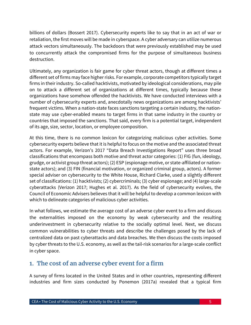billions of dollars (Bossert 2017). Cybersecurity experts like to say that in an act of war or retaliation, the first moves will be made in cyberspace. A cyber adversary can utilize numerous attack vectors simultaneously. The backdoors that were previously established may be used to concurrently attack the compromised firms for the purpose of simultaneous business destruction.

Ultimately, any organization is fair game for cyber threat actors, though at different times a different set of firms may face higher risks. For example, corporate competitors typically target firms in their industry. So-called hacktivists, motivated by ideological considerations, may pile on to attack a different set of organizations at different times, typically because these organizations have somehow offended the hacktivists. We have conducted interviews with a number of cybersecurity experts and, anecdotally news organizations are among hacktivists' frequent victims. When a nation-state faces sanctions targeting a certain industry, the nationstate may use cyber-enabled means to target firms in that same industry in the country or countries that imposed the sanctions. That said, every firm is a potential target, independent of its age, size, sector, location, or employee composition.

At this time, there is no common lexicon for categorizing malicious cyber activities. Some cybersecurity experts believe that it is helpful to focus on the motive and the associated threat actors. For example, Verizon's 2017 "Data Breach Investigations Report" uses three broad classifications that encompass both motive and threat actor categories: (1) FIG (fun, ideology, grudge, or activist group threat actors); (2) ESP (espionage motive, or state-affiliated or nationstate actors); and (3) FIN (financial motivation, or organized criminal group, actors). A former special adviser on cybersecurity to the White House, Richard Clarke, used a slightly different set of classifications: (1) hacktivists; (2) cybercriminals; (3) cyber espionage; and (4) large-scale cyberattacks (Verizon 2017; Hughes et al. 2017). As the field of cybersecurity evolves, the Council of Economic Advisers believes that it will be helpful to develop a common lexicon with which to delineate categories of malicious cyber activities.

In what follows, we estimate the average cost of an adverse cyber event to a firm and discuss the externalities imposed on the economy by weak cybersecurity and the resulting underinvestment in cybersecurity relative to the socially optimal level. Next, we discuss common vulnerabilities to cyber threats and describe the challenges posed by the lack of centralized data on past cyberattacks and data breaches. We then discuss the costs imposed by cyber threats to the U.S. economy, as well as the tail-risk scenarios for a large-scale conflict in cyber space.

# **1. The cost of an adverse cyber event for a firm**

A survey of firms located in the United States and in other countries, representing different industries and firm sizes conducted by Ponemon (2017a) revealed that a typical firm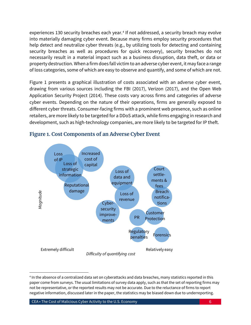experiences 130 security breaches each year.<sup>[4](#page-6-0)</sup> If not addressed, a security breach may evolve into materially damaging cyber event. Because many firms employ security procedures that help detect and neutralize cyber threats (e.g., by utilizing tools for detecting and containing security breaches as well as procedures for quick recovery), security breaches do not necessarily result in a material impact such as a business disruption, data theft, or data or property destruction. When a firm does fall victim to an adverse cyber event, it may face a range of loss categories, some of which are easy to observe and quantify, and some of which are not.

Figure 1 presents a graphical illustration of costs associated with an adverse cyber event, drawing from various sources including the FBI (2017), Verizon (2017), and the Open Web Application Security Project (2014). These costs vary across firms and categories of adverse cyber events. Depending on the nature of their operations, firms are generally exposed to different cyber threats. Consumer-facing firms with a prominent web presence, such as online retailers, are more likely to be targeted for a DDoS attack, while firms engaging in research and development, such as high-technology companies, are more likely to be targeted for IP theft.



# **Figure 1. Cost Components of an Adverse Cyber Event**

CEA • The Cost of Malicious Cyber Activity to the U.S. Economy 6 Activity of the U.S. Activity of the U.S. Economy

<span id="page-6-0"></span> <sup>4</sup> In the absence of a centralized data set on cyberattacks and data breaches, many statistics reported in this paper come from surveys. The usual limitations of survey data apply, such as that the set of reporting firms may not be representative, or the reported results may not be accurate. Due to the reluctance of firms to report negative information, discussed later in the paper, the statistics may be biased down due to underreporting.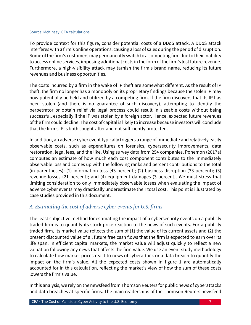#### Source: McKinsey, CEA calculations.

To provide context for this figure, consider potential costs of a DDoS attack. A DDoS attack interferes with a firm's online operations, causing a loss of sales during the period of disruption. Some of the firm's customers may permanently switch to a competing firm due to their inability to access online services, imposing additional costs in the form of the firm's lost future revenue. Furthermore, a high-visibility attack may tarnish the firm's brand name, reducing its future revenues and business opportunities.

The costs incurred by a firm in the wake of IP theft are somewhat different. As the result of IP theft, the firm no longer has a monopoly on its proprietary findings because the stolen IP may now potentially be held and utilized by a competing firm. If the firm discovers that its IP has been stolen (and there is no guarantee of such discovery), attempting to identify the perpetrator or obtain relief via legal process could result in sizeable costs without being successful, especially if the IP was stolen by a foreign actor. Hence, expected future revenues of the firm could decline. The cost of capital is likely to increase because investors will conclude that the firm's IP is both sought-after and not sufficiently protected.

In addition, an adverse cyber event typically triggers a range of immediate and relatively easily observable costs, such as expenditures on forensics, cybersecurity improvements, data restoration, legal fees, and the like. Using survey data from 254 companies, Ponemon (2017a) computes an estimate of how much each cost component contributes to the immediately observable loss and comes up with the following ranks and percent contributions to the total (in parentheses): (1) information loss (43 percent); (2) business disruption (33 percent); (3) revenue losses (21 percent); and (4) equipment damages (3 percent). We must stress that limiting consideration to only immediately observable losses when evaluating the impact of adverse cyber events may drastically underestimate their total cost. This point is illustrated by case studies provided in this document.

# *A. Estimating the cost of adverse cyber events for U.S. firms*

The least subjective method for estimating the impact of a cybersecurity events on a publicly traded firm is to quantify its stock price reaction to the news of such events. For a publicly traded firm, its market value reflects the sum of (1) the value of its current assets and (2) the present discounted value of all future free cash flows that the firm is expected to earn over its life span. In efficient capital markets, the market value will adjust quickly to reflect a new valuation following any news that affects the firm value. We use an event study methodology to calculate how market prices react to news of cyberattack or a data breach to quantify the impact on the firm's value. All the expected costs shown in figure 1 are automatically accounted for in this calculation, reflecting the market's view of how the sum of these costs lowers the firm's value.

In this analysis, we rely on the newsfeed from Thomson Reuters for public news of cyberattacks and data breaches at specific firms. The main readerships of the Thomson Reuters newsfeed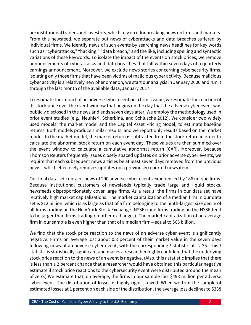are institutional traders and investors, which rely on it for breaking news on firms and markets. From this newsfeed, we separate out news of cyberattacks and data breaches suffered by individual firms. We identify news of such events by searching news headlines for key words such as "cyberattacks," "hacking," "data breach," and the like, including spelling and syntactic variations of these keywords. To isolate the impact of the events on stock prices, we remove announcements of cyberattacks and data breaches that fall within seven days of a quarterly earnings announcement. Moreover, we exclude news stories concerning cybersecurity firms, isolating only those firms that have been victims of malicious cyber activity. Because malicious cyber activity is a relatively new phenomenon, we start our analysis in January 2000 and run it through the last month of the available data, January 2017.

To estimate the impact of an adverse cyber event on a firm's value, we estimate the reaction of its stock price over the event window that begins on the day that the adverse cyber event was publicly disclosed in the news and ends seven days after. We employ the methodology used in prior event studies (e.g., Neuhierl, Scherbina, and Schlusche 2012). We consider two widely used models, the market model and the Capital Asset Pricing Model, to estimate baseline returns. Both models produce similar results, and we report only results based on the market model. In the market model, the market return is subtracted from the stock return in order to calculate the abnormal stock return on each event day. These values are then summed over the event window to calculate a cumulative abnormal return (CAR). Moreover, because Thomson Reuters frequently issues closely spaced updates on prior adverse cyber events, we require that each subsequent news articles be at least seven days removed from the previous news—which effectively removes updates on a previously reported news item.

Our final data set contains news of 290 adverse cyber events experienced by 186 unique firms. Because institutional customers of newsfeeds typically trade large and liquid stocks, newsfeeds disproportionately cover large firms. As a result, the firms in our data set have relatively high market capitalizations. The market capitalization of a median firm in our data set is \$12 billion, which is as large as that of a firm belonging to the ninth-largest size decile of all firms trading on the New York Stock Exchange (NYSE) (and firms trading on the NYSE tend to be larger than firms trading on other exchanges). The market capitalization of an average firm in our sample is even higher than that of a median firm—equal to \$65 billion.

We find that the stock price reaction to the news of an adverse cyber event is significantly negative. Firms on average lost about 0.8 percent of their market value in the seven days following news of an adverse cyber event, with the corresponding *t* statistic of –2.35. This *t* statistic is statistically significant and makes a researcher highly confident that the underlying stock price reaction to the news of an event is negative. (Also, this *t* statistic implies that there is less than a 2 percent chance that a researcher would have obtained this particular negative estimate if stock price reactions to the cybersecurity event were distributed around the mean of zero.) We estimate that, on average, the firms in our sample lost \$498 million per adverse cyber event. The distribution of losses is highly right-skewed. When we trim the sample of estimated losses at 1 percent on each side of the distribution, the average loss declines to \$338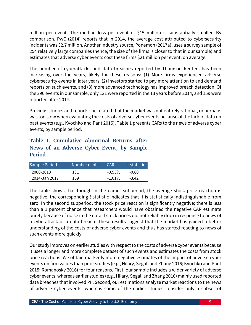million per event. The median loss per event of \$15 million is substantially smaller. By comparison, PwC (2014) reports that in 2014, the average cost attributed to cybersecurity incidents was \$2.7 million. Another industry source, Ponemon (2017a), uses a survey sample of 254 relatively large companies (hence, the size of the firms is closer to that in our sample) and estimates that adverse cyber events cost these firms \$21 million per event, on average.

The number of cyberattacks and data breaches reported by Thomson Reuters has been increasing over the years, likely for these reasons: (1) More firms experienced adverse cybersecurity events in later years, (2) investors started to pay more attention to and demand reports on such events, and (3) more advanced technology has improved breach detection. Of the 290 events in our sample, only 131 were reported in the 13 years before 2014, and 159 were reported after 2014.

Previous studies and reports speculated that the market was not entirely rational, or perhaps was too slow when evaluating the costs of adverse cyber events because of the lack of data on past events (e.g., Kvochko and Pant 2015). Table 1 presents CARs to the news of adverse cyber events, by sample period.

# **Table 1. Cumulative Abnormal Returns after News of an Adverse Cyber Event, by Sample Period**

| Sample Period | Number of obs. | CAR       | t-statistic |  |  |
|---------------|----------------|-----------|-------------|--|--|
| 2000-2013     | 131            | $-0.53\%$ | $-0.80$     |  |  |
| 2014-Jan 2017 | 159            | $-1.01\%$ | $-3.42$     |  |  |

The table shows that though in the earlier subperiod, the average stock price reaction is negative, the corresponding *t* statistic indicates that it is statistically indistinguishable from zero. In the second subperiod, the stock price reaction is significantly negative; there is less than a 1 percent chance that researchers would have obtained the negative CAR estimate purely because of noise in the data if stock prices did not reliably drop in response to news of a cyberattack or a data breach. These results suggest that the market has gained a better understanding of the costs of adverse cyber events and thus has started reacting to news of such events more quickly.

Our study improves on earlier studies with respect to the costs of adverse cyber events because it uses a longer and more complete dataset of such events and estimates the costs from stock price reactions. We obtain markedly more negative estimates of the impact of adverse cyber events on firm values than prior studies (e.g., Hilary, Segal, and Zhang 2016; Kvochko and Pant 2015; Romanosky 2016) for four reasons. First, our sample includes a wider variety of adverse cyber events, whereas earlier studies (e.g., Hilary, Segal, and Zhang 2016) mainly used reported data breaches that involved PII. Second, our estimations analyze market reactions to the news of adverse cyber events, whereas some of the earlier studies consider only a subset of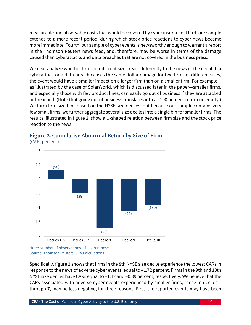measurable and observable costs that would be covered by cyber insurance. Third, our sample extends to a more recent period, during which stock price reactions to cyber news became more immediate. Fourth, our sample of cyber events is newsworthy enough to warrant a report in the Thomson Reuters news feed, and, therefore, may be worse in terms of the damage caused than cyberattacks and data breaches that are not covered in the business press.

We next analyze whether firms of different sizes react differently to the news of the event. If a cyberattack or a data breach causes the same dollar damage for two firms of different sizes, the event would have a smaller impact on a larger firm than on a smaller firm. For example as illustrated by the case of SolarWorld, which is discussed later in the paper—smaller firms, and especially those with few product lines, can easily go out of business if they are attacked or breached. (Note that going out of business translates into a –100 percent return on equity.) We form firm size bins based on the NYSE size deciles, but because our sample contains very few small firms, we further aggregate several size deciles into a single bin for smaller firms. The results, illustrated in figure 2, show a U-shaped relation between firm size and the stock price reaction to the news.



**Figure 2. Cumulative Abnormal Return by Size of Firm** 

Note: Number of observations is in parentheses. Source: Thomson Reuters; CEA Calculations. ľ ַ

(CAR, percent)

Specifically, figure 2 shows that firms in the 8th NYSE size decile experience the lowest CARs in response to the news of adverse cyber events, equal to –1.72 percent. Firms in the 9th and 10th NYSE size deciles have CARs equal to –1.12 and –0.89 percent, respectively. We believe that the CARs associated with adverse cyber events experienced by smaller firms, those in deciles 1 through 7, may be less negative, for three reasons. First, the reported events may have been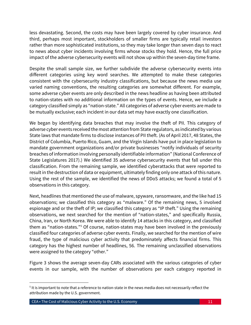less devastating. Second, the costs may have been largely covered by cyber insurance. And third, perhaps most important, stockholders of smaller firms are typically retail investors rather than more sophisticated institutions, so they may take longer than seven days to react to news about cyber incidents involving firms whose stocks they hold. Hence, the full price impact of the adverse cybersecurity events will not show up within the seven-day time frame.

Despite the small sample size, we further subdivide the adverse cybersecurity events into different categories using key word searches. We attempted to make these categories consistent with the cybersecurity industry classifications, but because the news media use varied naming conventions, the resulting categories are somewhat different. For example, some adverse cyber events are only described in the news headline as having been attributed to nation-states with no additional information on the types of events. Hence, we include a category classified simply as "nation-state." All categories of adverse cyber events are made to be mutually exclusive; each incident in our data set may have exactly one classification.

We began by identifying data breaches that may involve the theft of PII. This category of adverse cyber events received the most attention from State regulators, as indicated by various State laws that mandate firms to disclose instances of PII theft. (As of April 2017, 48 States, the District of Columbia, Puerto Rico, Guam, and the Virgin Islands have put in place legislation to mandate government organizations and/or private businesses "notify individuals of security breaches of information involving personally identifiable information" (National Conference of State Legislatures 2017).) We identified 35 adverse cybersecurity events that fall under this classification. From the remaining sample, we identified cyberattacks that were reported to result in the destruction of data or equipment, ultimately finding only one attack of this nature. Using the rest of the sample, we identified the news of DDoS attacks; we found a total of 5 observations in this category.

Next, headlines that mentioned the use of malware, spyware, ransomware, and the like had 15 observations; we classified this category as "malware." Of the remaining news, 5 involved espionage and or the theft of IP; we classified this category as "IP theft." Using the remaining observations, we next searched for the mention of "nation-states," and specifically Russia, China, Iran, or North Korea. We were able to identify 14 attacks in this category, and classified them as "nation-states.["5](#page-11-0) Of course, nation-states may have been involved in the previously classified four categories of adverse cyber events. Finally, we searched for the mention of wire fraud, the type of malicious cyber activity that predominately affects financial firms. This category has the highest number of headlines, 56. The remaining unclassified observations were assigned to the category "other."

Figure 3 shows the average seven-day CARs associated with the various categories of cyber events in our sample, with the number of observations per each category reported in

<span id="page-11-0"></span> <sup>5</sup> It is important to note that a reference to nation-state in the news media does not necessarily reflect the attribution made by the U.S. government.

CEA • The Cost of Malicious Cyber Activity to the U.S. Economy 11 11 11 11 11 11 11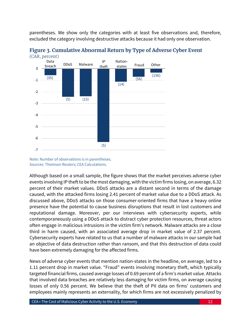parentheses. We show only the categories with at least five observations and, therefore, excluded the category involving destructive attacks because it had only one observation.



**Figure 3. Cumulative Abnormal Return by Type of Adverse Cyber Event** (CAR, percent)

Note: Number of observations is in parentheses. Sources: Thomson Reuters; CEA Calculations. Ì

Although based on a small sample, the figure shows that the market perceives adverse cyber events involving IP theft to be the most damaging, with the victim firms losing, on average, 6.32 percent of their market values. DDoS attacks are a distant second in terms of the damage caused, with the attacked firms losing 2.41 percent of market value due to a DDoS attack. As discussed above, DDoS attacks on those consumer-oriented firms that have a heavy online presence have the potential to cause business disruptions that result in lost customers and reputational damage. Moreover, per our interviews with cybersecurity experts, while contemporaneously using a DDoS attack to distract cyber protection resources, threat actors often engage in malicious intrusions in the victim firm's network. Malware attacks are a close third in harm caused, with an associated average drop in market value of 2.37 percent. Cybersecurity experts have related to us that a number of malware attacks in our sample had an objective of data destruction rather than ransom, and that this destruction of data could have been extremely damaging for the affected firms.

News of adverse cyber events that mention nation-states in the headline, on average, led to a 1.11 percent drop in market value. "Fraud" events involving monetary theft, which typically targeted financial firms, caused average losses of 0.69 percent of a firm's market value. Attacks that involved data breaches are relatively less damaging for victim firms, on average causing losses of only 0.56 percent. We believe that the theft of PII data on firms' customers and employees mainly represents an externality, for which firms are not excessively penalized by

CEA • The Cost of Malicious Cyber Activity to the U.S. Economy 12 12 12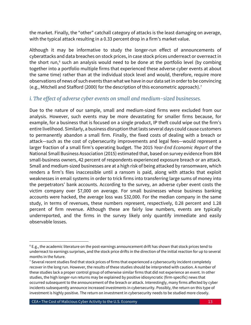the market. Finally, the "other" catchall category of attacks is the least damaging on average, with the typical attack resulting in a 0.33 percent drop in a firm's market value.

Although it may be informative to study the longer-run effect of announcements of cyberattacks and data breaches on stock prices, in case stock prices underreact or overreact in the short run, $6$  such an analysis would need to be done at the portfolio level (by combing together into a portfolio multiple firms that experienced these adverse cyber events at about the same time) rather than at the individual stock level and would, therefore, require more observations of news of such events than what we have in our data set in order to be convincing (e.g., Mitchell and Stafford (2000) for the description of this econometric approach).[7](#page-13-1)

## *i. The effect of adverse cyber events on small and medium-sized businesses.*

Due to the nature of our sample, small and medium-sized firms were excluded from our analysis. However, such events may be more devastating for smaller firms because, for example, for a business that is focused on a single product, IP theft could wipe out the firm's entire livelihood. Similarly, a business disruption that lasts several days could cause customers to permanently abandon a small firm. Finally, the fixed costs of dealing with a breach or attack—such as the cost of cybersecurity improvements and legal fees—would represent a larger fraction of a small firm's operating budget. The 2015 *Year-End Economic Report* of the National Small Business Association (2015) estimated that, based on survey evidence from 884 small-business owners, 42 percent of respondents experienced exposure breach or an attack. Small and medium-sized businesses are at a high risk of being attacked by ransomware, which renders a firm's files inaccessible until a ransom is paid, along with attacks that exploit weaknesses in email systems in order to trick firms into transferring large sums of money into the perpetrators' bank accounts. According to the survey, an adverse cyber event costs the victim company over \$7,000 on average. For small businesses whose business banking accounts were hacked, the average loss was \$32,000. For the median company in the same study, in terms of revenues, these numbers represent, respectively, 0.28 percent and 1.28 percent of firm revenue. Although these are fairly low numbers, events are typically underreported, and the firms in the survey likely only quantify immediate and easily observable losses.

<span id="page-13-0"></span> $6$  E.g., the academic literature on the post-earnings announcement drift has shown that stock prices tend to underreact to earnings surprises, and the stock price drifts in the direction of the initial reaction for up to several months in the future.

<span id="page-13-1"></span><sup>&</sup>lt;sup>7</sup> Several recent studies find that stock prices of firms that experienced a cybersecurity incident completely recover in the long run. However, the results of these studies should be interpreted with caution. A number of these studies lack a proper control group of otherwise similar firms that did not experience an event. In other studies, the high longer-run returns may be explained by positive idiosyncratic (firm-specific) news that occurred subsequent to the announcement of the breach or attack. Interestingly, many firms affected by cyber incidents subsequently announce increased investments in cybersecurity. Possibly, the return on this type of investment is highly positive. The return on investment in cybersecurity needs to be studied more closely.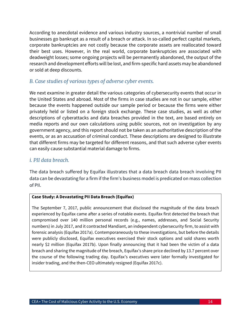According to anecdotal evidence and various industry sources, a nontrivial number of small businesses go bankrupt as a result of a breach or attack. In so-called perfect capital markets, corporate bankruptcies are not costly because the corporate assets are reallocated toward their best uses. However, in the real world, corporate bankruptcies are associated with deadweight losses; some ongoing projects will be permanently abandoned, the output of the research and development efforts will be lost, and firm-specific hard assets may be abandoned or sold at deep discounts.

## *B. Case studies of various types of adverse cyber events.*

We next examine in greater detail the various categories of cybersecurity events that occur in the United States and abroad. Most of the firms in case studies are not in our sample, either because the events happened outside our sample period or because the firms were either privately held or listed on a foreign stock exchange. These case studies, as well as other descriptions of cyberattacks and data breaches provided in the text, are based entirely on media reports and our own calculations using public sources, not on investigation by any government agency, and this report should not be taken as an authoritative description of the events, or as an accusation of criminal conduct. These descriptions are designed to illustrate that different firms may be targeted for different reasons, and that such adverse cyber events can easily cause substantial material damage to firms.

# *i. PII data breach.*

The data breach suffered by Equifax illustrates that a data breach data breach involving PII data can be devastating for a firm if the firm's business model is predicated on mass collection of PII.

#### **Case Study: A Devastating PII Data Breach (Equifax)**

The September 7, 2017, public announcement that disclosed the magnitude of the data breach experienced by Equifax came after a series of notable events. Equifax first detected the breach that compromised over 140 million personal records (e.g., names, addresses, and Social Security numbers) in July 2017, and it contracted Mandiant, an independent cybersecurity firm, to assist with forensic analysis (Equifax 2017a). Contemporaneously to these investigations, but before the details were publicly disclosed, Equifax executives exercised their stock options and sold shares worth nearly \$2 million (Equifax 2017b). Upon finally announcing that it had been the victim of a data breach and sharing the magnitude of the breach, Equifax's share price declined by 13.7 percent over the course of the following trading day. Equifax's executives were later formally investigated for insider trading, and the then-CEO ultimately resigned (Equifax 2017c).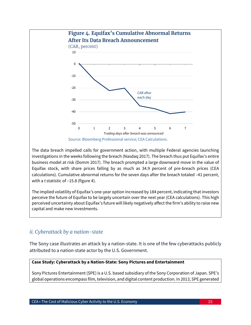

The data breach impelled calls for government action, with multiple Federal agencies launching investigations in the weeks following the breach (Nasdaq 2017). The breach thus put Equifax's entire business model at risk (Domm 2017). The breach prompted a large downward move in the value of Equifax stock, with share prices falling by as much as 34.9 percent of pre-breach prices (CEA calculations). Cumulative abnormal returns for the seven days after the breach totaled –41 percent, with a *t* statistic of –15.8 (figure 4).

The implied volatility of Equifax's one-year option increased by 184 percent, indicating that investors perceive the future of Equifax to be largely uncertain over the next year (CEA calculations). This high perceived uncertainty about Equifax's future will likely negatively affect the firm's ability to raise new capital and make new investments.

# *ii. Cyberattack by a nation-state*

The Sony case illustrates an attack by a nation-state. It is one of the few cyberattacks publicly attributed to a nation-state actor by the U.S. Government.

#### **Case Study: Cyberattack by a Nation-State: Sony Pictures and Entertainment**

Sony Pictures Entertainment (SPE) is a U.S. based subsidiary of the Sony Corporation of Japan. SPE's global operations encompass film, television, and digital content production. In 2013, SPE generated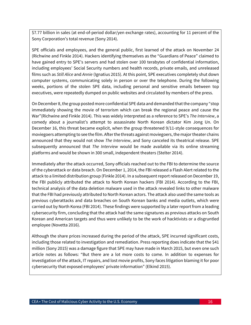\$7.77 billion in sales (at end-of-period dollar/yen exchange rates), accounting for 11 percent of the Sony Corporation's total revenue (Sony 2014).

SPE officials and employees, and the general public, first learned of the attack on November 24 (Richwine and Finkle 2014). Hackers identifying themselves as the "Guardians of Peace" claimed to have gained entry to SPE's servers and had stolen over 100 terabytes of confidential information, including employees' Social Security numbers and health records, private emails, and unreleased films such as *Still Alice* and *Annie* (Ignatius 2015). At this point, SPE executives completely shut down computer systems, communicating solely in person or over the telephone. During the following weeks, portions of the stolen SPE data, including personal and sensitive emails between top executives, were repeatedly dumped on public websites and circulated by members of the press.

On December 8, the group posted more confidential SPE data and demanded that the company "stop immediately showing the movie of terrorism which can break the regional peace and cause the War"(Richwine and Finkle 2014). This was widely interpreted as a reference to SPE's *The Interview*, a comedy about a journalist's attempt to assassinate North Korean dictator Kim Jong Un. On December 16, this threat became explicit, when the group threatened 9/11-style consequences for moviegoers attempting to see the film. After the threats against moviegoers, the major theater chains announced that they would not show *The Interview*, and Sony canceled its theatrical release. SPE subsequently announced that *The Interview* would be made available via its online streaming platforms and would be shown in 300 small, independent theaters (Stelter 2014).

Immediately after the attack occurred, Sony officials reached out to the FBI to determine the source of the cyberattack or data breach. On December 1, 2014, the FBI released a Flash Alert related to the attack to a limited distribution group (Finkle 2014). In a subsequent report released on December 19, the FBI publicly attributed the attack to North Korean hackers (FBI 2014). According to the FBI, technical analysis of the data deletion malware used in the attack revealed links to other malware that the FBI had previously attributed to North Korean actors. The attack also used the same tools as previous cyberattacks and data breaches on South Korean banks and media outlets, which were carried out by North Korea (FBI 2014). These findings were supported by a later report from a leading cybersecurity firm, concluding that the attack had the same signatures as previous attacks on South Korean and American targets and thus were unlikely to be the work of hacktivists or a disgruntled employee (Novetta 2016).

Although the share prices increased during the period of the attack, SPE incurred significant costs, including those related to investigation and remediation. Press reporting does indicate that the \$41 million (Sony 2015) was a damage figure that SPE may have made in March 2015, but even one such article notes as follows: "But there are a lot more costs to come. In addition to expenses for investigation of the attack, IT repairs, and lost movie profits, Sony faces litigation blaming it for poor cybersecurity that exposed employees' private information" (Elkind 2015).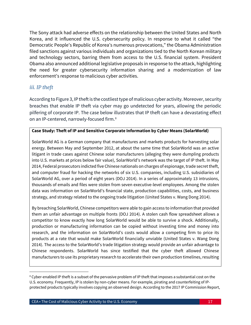The Sony attack had adverse effects on the relationship between the United States and North Korea, and it influenced the U.S. cybersecurity policy. In response to what it called "the Democratic People's Republic of Korea's numerous provocations," the Obama Administration filed sanctions against various individuals and organizations tied to the North Korean military and technology sectors, barring them from access to the U.S. financial system. President Obama also announced additional legislative proposals in response to the attack, highlighting the need for greater cybersecurity information sharing and a modernization of law enforcement's response to malicious cyber activities.

# *iii. IP theft*

According to Figure 3, IP theft is the costliest type of malicious cyber activity. Moreover, security breaches that enable IP theft via cyber may go undetected for years, allowing the periodic pilfering of corporate IP. The case below illustrates that IP theft can have a devastating effect on an IP-centered, narrowly-focused firm.[8](#page-17-0)

#### **Case Study: Theft of IP and Sensitive Corporate Information by Cyber Means (SolarWorld)**

SolarWorld AG is a German company that manufactures and markets products for harvesting solar energy. Between May and September 2012, at about the same time that SolarWorld was an active litigant in trade cases against Chinese solar manufacturers (alleging they were dumpling products into U.S. markets at prices below fair value), SolarWorld's network was the target of IP theft. In May 2014, Federal prosecutors indicted five Chinese nationals on charges of espionage, trade secret theft, and computer fraud for hacking the networks of six U.S. companies, including U.S. subsidiaries of SolarWorld AG, over a period of eight years (DOJ 2014). In a series of approximately 13 intrusions, thousands of emails and files were stolen from seven executive-level employees. Among the stolen data was information on SolarWorld's financial state, production capabilities, costs, and business strategy, and strategy related to the ongoing trade litigation (United States v. Wang Dong 2014).

By breaching SolarWorld, Chinese competitors were able to gain access to information that provided them an unfair advantage on multiple fronts (DOJ 2014). A stolen cash flow spreadsheet allows a competitor to know exactly how long SolarWorld would be able to survive a shock. Additionally, production or manufacturing information can be copied without investing time and money into research, and the information on SolarWorld's costs would allow a competing firm to price its products at a rate that would make SolarWorld financially unviable (United States v. Wang Dong 2014). The access to the SolarWorld's trade litigation strategy would provide an unfair advantage to Chinese respondents. SolarWorld has since testified that the cyber theft allowed Chinese manufacturers to use its proprietary research to accelerate their own production timelines, resulting

<span id="page-17-0"></span><sup>&</sup>lt;sup>8</sup> Cyber-enabled IP theft is a subset of the pervasive problem of IP theft that imposes a substantial cost on the U.S. economy. Frequently, IP is stolen by non-cyber means. For example, pirating and counterfeiting of IPprotected products typically involves copying an observed design. According to the 2017 IP Commission Report,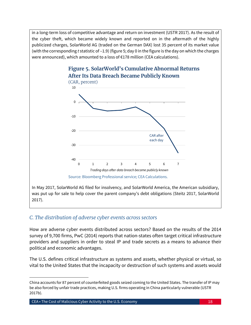in a long-term loss of competitive advantage and return on investment (USTR 2017). As the result of the cyber theft, which became widely known and reported on in the aftermath of the highly publicized charges, SolarWorld AG (traded on the German DAX) lost 35 percent of its market value (with the corresponding *t* statistic of –1.9) (figure 5; day 0 in the figure is the day on which the charges were announced), which amounted to a loss of €178 million (CEA calculations).



# **Figure 5. SolarWorld's Cumulative Abnormal Returns**

# *C. The distribution of adverse cyber events across sectors*

2017).

 $\overline{a}$ 

How are adverse cyber events distributed across sectors? Based on the results of the 2014 survey of 9,700 firms, PwC (2014) reports that nation-states often target critical infrastructure providers and suppliers in order to steal IP and trade secrets as a means to advance their political and economic advantages.

The U.S. defines critical infrastructure as systems and assets, whether physical or virtual, so vital to the United States that the incapacity or destruction of such systems and assets would

China accounts for 87 percent of counterfeited goods seized coming to the United States. The transfer of IP may be also forced by unfair trade practices, making U.S. firms operating in China particularly vulnerable (USTR 2017b).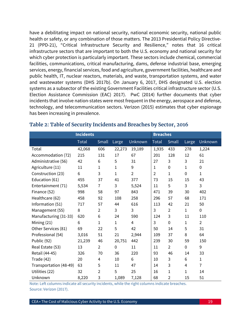have a debilitating impact on national security, national economic security, national public health or safety, or any combination of those matters. The 2013 Presidential Policy Directive-21 (PPD-21), "Critical Infrastructure Security and Resilience," notes that 16 critical infrastructure sectors that are important to both the U.S. economy and national security for which cyber protection is particularly important. These sectors include chemical, commercial facilities, communications, critical manufacturing, dams, defense industrial base, emerging services, energy, financial services, food and agriculture, government facilities, healthcare and public health, IT, nuclear reactors, materials, and waste, transportation systems, and water and wastewater systems (DHS 2017b). On January 6, 2017, DHS designated U.S. election systems as a subsector of the existing Government Facilities critical infrastructure sector (U.S. Election Assistance Commission (EAC) 2017). PwC (2014) further documents that cyber incidents that involve nation-states were most frequent in the energy, aerospace and defense, technology, and telecommunication sectors. Verizon (2015) estimates that cyber espionage has been increasing in prevalence.

|                        | <b>Incidents</b> |                |              |                | <b>Breaches</b> |                |             |                |
|------------------------|------------------|----------------|--------------|----------------|-----------------|----------------|-------------|----------------|
|                        | Total            | Small          | Large        | Unknown        | Total           | Small          | Large       | Unknown        |
| Total                  | 42,068           | 606            | 22,273       | 19,189         | 1,935           | 433            | 278         | 1,224          |
| Accommodation (72)     | 215              | 131            | 17           | 67             | 201             | 128            | 12          | 61             |
| Administrative (56)    | 42               | 6              | 5            | 31             | 27              | 3              | 3           | 21             |
| Agriculture (11)       | 11               | 1              | $\mathbf{1}$ | 9              | $\mathbf{1}$    | 0              | 1           | $\mathbf 0$    |
| Construction (23)      | 6                | 3              | $\mathbf{1}$ | $\overline{2}$ | $\overline{2}$  | $\mathbf{1}$   | 0           | $\mathbf{1}$   |
| Education (61)         | 455              | 37             | 41           | 377            | 73              | 15             | 15          | 43             |
| Entertainment (71)     | 5,534            | 7              | 3            | 5,524          | 11              | 5              | 3           | 3              |
| Finance (52)           | 998              | 58             | 97           | 843            | 471             | 39             | 30          | 402            |
| Healthcare (62)        | 458              | 92             | 108          | 258            | 296             | 57             | 68          | 171            |
| Information (51)       | 717              | 57             | 44           | 616            | 113             | 42             | 21          | 50             |
| Management (55)        | 8                | $\overline{2}$ | 3            | 3              | 3               | $\overline{2}$ | $\mathbf 1$ | 0              |
| Manufacturing (31-33)  | 620              | 6              | 24           | 590            | 124             | 3              | 11          | 110            |
| Mining $(21)$          | 6                | $\mathbf{1}$   | $\mathbf{1}$ | $\overline{4}$ | 3               | $\pmb{0}$      | 1           | $\overline{2}$ |
| Other Services (81)    | 69               | 22             | 5            | 42             | 50              | 14             | 5           | 31             |
| Professional (54)      | 3,016            | 51             | 21           | 2,944          | 109             | 37             | 8           | 64             |
| Public (92)            | 21,239           | 46             | 20,751       | 442            | 239             | 30             | 59          | 150            |
| Real Estate (53)       | 13               | $\overline{2}$ | $\mathbf 0$  | 11             | 11              | $\overline{2}$ | 0           | 9              |
| Retail (44-45)         | 326              | 70             | 36           | 220            | 93              | 46             | 14          | 33             |
| Trade $(42)$           | 20               | 4              | 10           | 6              | 10              | 3              | 6           | $\mathbf{1}$   |
| Transportation (48-49) | 63               | 5              | 11           | 47             | 14              | 3              | 4           | 7              |
| Utilities (22)         | 32               | $\overline{2}$ | 5            | 25             | 16              | 1              | 1           | 14             |
| Unknown                | 8,220            | 3              | 1,089        | 7,128          | 68              | $\overline{2}$ | 15          | 51             |

## **Table 2: Table of Security Incidents and Breaches by Sector, 2016**

Note: Left columns indicate all security incidents, while the right columns indicate breaches. Source: Verizon (2017).

CEA • The Cost of Malicious Cyber Activity to the U.S. Economy 19 19 19 19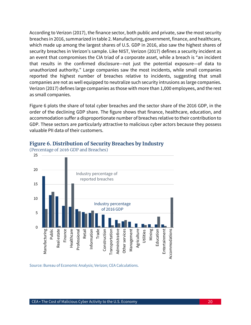According to Verizon (2017), the finance sector, both public and private, saw the most security breaches in 2016, summarized in table 2. Manufacturing, government, finance, and healthcare, which made up among the largest shares of U.S. GDP in 2016, also saw the highest shares of security breaches in Verizon's sample. Like NIST, Verizon (2017) defines a security incident as an event that compromises the CIA triad of a corporate asset, while a breach is "an incident that results in the confirmed disclosure—not just the potential exposure—of data to unauthorized authority." Large companies saw the most incidents, while small companies reported the highest number of breaches relative to incidents, suggesting that small companies are not as well equipped to neutralize such security intrusions as large companies. Verizon (2017) defines large companies as those with more than 1,000 employees, and the rest as small companies.

Figure 6 plots the share of total cyber breaches and the sector share of the 2016 GDP, in the order of the declining GDP share. The figure shows that finance, healthcare, education, and accommodation suffer a disproportionate number of breaches relative to their contribution to GDP. These sectors are particularly attractive to malicious cyber actors because they possess valuable PII data of their customers.



# **Figure 6. Distribution of Security Breaches by Industry**

Source: Bureau of Economic Analysis; Verizon; CEA Calculations. Ē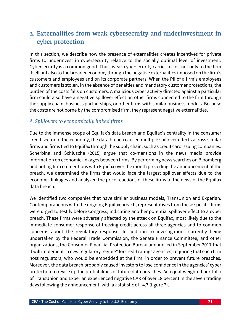# **2. Externalities from weak cybersecurity and underinvestment in cyber protection**

In this section, we describe how the presence of externalities creates incentives for private firms to underinvest in cybersecurity relative to the socially optimal level of investment. Cybersecurity is a common good. Thus, weak cybersecurity carries a cost not only to the firm itself but also to the broader economy through the negative externalities imposed on the firm's customers and employees and on its corporate partners. When the PII of a firm's employees and customers is stolen, in the absence of penalties and mandatory customer protections, the burden of the costs falls on customers. A malicious cyber activity directed against a particular firm could also have a negative spillover effect on other firms connected to the firm through the supply chain, business partnerships, or other firms with similar business models. Because the costs are not borne by the compromised firm, they represent negative externalities.

# *A. Spillovers to economically linked firms*

Due to the immense scope of Equifax's data breach and Equifax's centrality in the consumer credit sector of the economy, the data breach caused multiple spillover effects across similar firms and firms tied to Equifax through the supply chain, such as credit card issuing companies. Scherbina and Schlusche (2015) argue that co-mentions in the news media provide information on economic linkages between firms. By performing news searches on Bloomberg and noting firm co-mentions with Equifax over the month preceding the announcement of the breach, we determined the firms that would face the largest spillover effects due to the economic linkages and analyzed the price reactions of these firms to the news of the Equifax data breach.

We identified two companies that have similar business models, TransUnion and Experian. Contemporaneous with the ongoing Equifax breach, representatives from these specific firms were urged to testify before Congress, indicating another potential spillover effect to a cyber breach. These firms were adversely affected by the attack on Equifax, most likely due to the immediate consumer response of freezing credit across all three agencies and to common concerns about the regulatory response. In addition to investigations currently being undertaken by the Federal Trade Commission, the Senate Finance Committee, and other organizations, the Consumer Financial Protection Bureau announced in September 2017 that it will implement "a new regulatory regime" for credit ratings agencies, requiring that each firm host regulators, who would be embedded at the firm, in order to prevent future breaches. Moreover, the data breach probably caused investors to lose confidence in the agencies' cyber protection to revise up the probabilities of future data breaches. An equal-weighted portfolio of TransUnion and Experian experienced negative CAR of over 18 percent in the seven trading days following the announcement, with a *t* statistic of –4.7 (figure 7).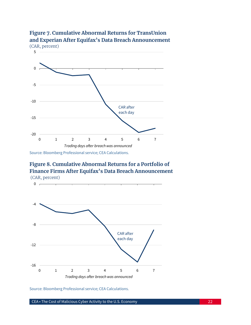

#### **Figure 7. Cumulative Abnormal Returns for TransUnion and Experian After Equifax's Data Breach Announcement**

Source: Bloomberg Professional service; CEA Calculations.

# **Figure 8. Cumulative Abnormal Returns for a Portfolio of Finance Firms After Equifax's Data Breach Announcement**



Source: Bloomberg Professional service; CEA Calculations.

**CEA • The Cost of Malicious Cyber Activity to the U.S. Economy 22 CEA • The Cost of Malicious Cyber Activity to the U.S. Economy**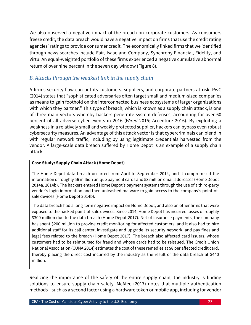We also observed a negative impact of the breach on corporate customers. As consumers freeze credit, the data breach would have a negative impact on firms that use the credit rating agencies' ratings to provide consumer credit. The economically linked firms that we identified through news searches include Fair, Isaac and Company, Synchrony Financial, Fidelity, and Virtu. An equal-weighted portfolio of these firms experienced a negative cumulative abnormal return of over nine percent in the seven day window (Figure 8).

## *B. Attacks through the weakest link in the supply chain*

A firm's security flaw can put its customers, suppliers, and corporate partners at risk. PwC (2014) states that "sophisticated adversaries often target small and medium-sized companies as means to gain foothold on the interconnected business ecosystems of larger organizations with which they partner." This type of breach, which is known as a supply chain attack, is one of three main vectors whereby hackers penetrate system defenses, accounting for over 60 percent of all adverse cyber events in 2016 (*Wired* 2015; Accenture 2016). By exploiting a weakness in a relatively small and weakly protected supplier, hackers can bypass even robust cybersecurity measures. An advantage of this attack vector is that cybercriminals can blend in with regular network traffic, including by using legitimate credentials harvested from the vendor. A large-scale data breach suffered by Home Depot is an example of a supply chain attack.

#### **Case Study: Supply Chain Attack (Home Depot)**

The Home Depot data breach occurred from April to September 2014, and it compromised the information of roughly 56 million unique payment cards and 53 million email addresses (Home Depot 2014a, 2014b). The hackers entered Home Depot's payment systems through the use of a third-party vendor's login information and then unleashed malware to gain access to the company's point-ofsale devices (Home Depot 2014b).

The data breach had a long-term negative impact on Home Depot, and also on other firms that were exposed to the hacked point-of-sale devices. Since 2014, Home Depot has incurred losses of roughly \$300 million due to the data breach (Home Depot 2017). Net of insurance payments, the company has spent \$200 million to provide credit monitoring for affected customers, and it also had to hire additional staff for its call center, investigate and upgrade its security network, and pay fines and legal fees related to the breach (Home Depot 2017). The breach also affected card issuers, whose customers had to be reimbursed for fraud and whose cards had to be reissued. The Credit Union National Association (CUNA 2014) estimates the cost of these remedies at \$8 per affected credit card, thereby placing the direct cost incurred by the industry as the result of the data breach at \$440 million.

Realizing the importance of the safety of the entire supply chain, the industry is finding solutions to ensure supply chain safety. McAfee (2017) notes that multiple authentication methods—such as a second factor using a hardware token or mobile app, including for vendor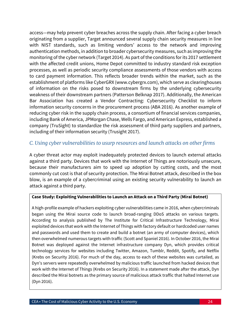access—may help prevent cyber breaches across the supply chain. After facing a cyber breach originating from a supplier, Target announced several supply chain security measures in line with NIST standards, such as limiting vendors' access to the network and improving authentication methods, in addition to broader cybersecurity measures, such as improving the monitoring of the cyber network (Target 2014). As part of the conditions for its 2017 settlement with the affected credit unions, Home Depot committed to industry standard risk exception processes, as well as periodic security compliance assessments of those vendors with access to card payment information. This reflects broader trends within the market, such as the establishment of platforms like CyberGRX (www.cybergrx.com), which serve as clearinghouses of information on the risks posed to downstream firms by the underlying cybersecurity weakness of their downstream partners (Patterson Belknap 2017). Additionally, the American Bar Association has created a Vendor Contracting: Cybersecurity Checklist to inform information security concerns in the procurement process (ABA 2016). As another example of reducing cyber risk in the supply chain process, a consortium of financial services companies, including Bank of America, JPMorgan Chase, Wells Fargo, and American Express, established a company (TruSight) to standardize the risk assessment of third party suppliers and partners, including of their information security (Trusight 2017).

## *C. Using cyber vulnerabilities to usurp resources and launch attacks on other firms*

A cyber threat actor may exploit inadequately protected devices to launch external attacks against a third party. Devices that work with the Internet of Things are notoriously unsecure, because their manufacturers aim to speed up adoption by cutting costs, and the most commonly cut cost is that of security protection. The Mirai Botnet attack, described in the box blow, is an example of a cybercriminal using an existing security vulnerability to launch an attack against a third party.

#### **Case Study: Exploiting Vulnerabilities to Launch an Attack on a Third Party (Mirai Botnet)**

A high-profile example of hackers exploiting cyber vulnerabilities came in 2016, when cybercriminals began using the Mirai source code to launch broad-ranging DDoS attacks on various targets. According to analysis published by The Institute for Critical Infrastructure Technology, Mirai exploited devices that work with the Internet of Things with factory default or hardcoded user names and passwords and used them to create and build a botnet (an army of computer devices), which then overwhelmed numerous targets with traffic (Scott and Spaniel 2016). In October 2016, the Mirai Botnet was deployed against the Internet infrastructure company Dyn, which provides critical technology services for websites including Twitter, Amazon, Tumblr, Reddit, Spotify, and Netflix (Krebs on Security 2016). For much of the day, access to each of these websites was curtailed, as Dyn's servers were repeatedly overwhelmed by malicious traffic launched from hacked devices that work with the Internet of Things (Krebs on Security 2016). In a statement made after the attack, Dyn described the Mirai botnets as the primary source of malicious attack traffic that halted Internet use (Dyn 2016).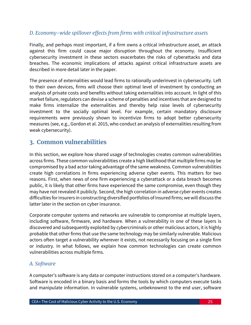# *D. Economy-wide spillover effects from firms with critical infrastructure assets*

Finally, and perhaps most important, if a firm owns a critical infrastructure asset, an attack against this firm could cause major disruption throughout the economy. Insufficient cybersecurity investment in these sectors exacerbates the risks of cyberattacks and data breaches. The economic implications of attacks against critical infrastructure assets are described in more detail later in the paper.

The presence of externalities would lead firms to rationally underinvest in cybersecurity. Left to their own devices, firms will choose their optimal level of investment by conducting an analysis of private costs and benefits without taking externalities into account. In light of this market failure, regulators can devise a scheme of penalties and incentives that are designed to make firms internalize the externalities and thereby help raise levels of cybersecurity investment to the socially optimal level. For example, certain mandatory disclosure requirements were previously shown to incentivize firms to adopt better cybersecurity measures (see, e.g., Gordon et al. 2015, who conduct an analysis of externalities resulting from weak cybersecurity).

# **3. Common vulnerabilities**

In this section, we explore how shared usage of technologies creates common vulnerabilities across firms. These common vulnerabilities create a high likelihood that multiple firms may be compromised by a bad actor taking advantage of the same weakness. Common vulnerabilities create high correlations in firms experiencing adverse cyber events. This matters for two reasons. First, when news of one firm experiencing a cyberattack or a data breach becomes public, it is likely that other firms have experienced the same compromise, even though they may have not revealed it publicly. Second, the high correlation in adverse cyber events creates difficulties for insurers in constructing diversified portfolios of insured firms; we will discuss the latter later in the section on cyber insurance.

Corporate computer systems and networks are vulnerable to compromise at multiple layers, including software, firmware, and hardware. When a vulnerability in one of these layers is discovered and subsequently exploited by cybercriminals or other malicious actors, it is highly probable that other firms that use the same technology may be similarly vulnerable. Malicious actors often target a vulnerability wherever it exists, not necessarily focusing on a single firm or industry. In what follows, we explain how common technologies can create common vulnerabilities across multiple firms.

# *A. Software*

A computer's software is any data or computer instructions stored on a computer's hardware. Software is encoded in a binary basis and forms the tools by which computers execute tasks and manipulate information. In vulnerable systems, unbeknownst to the end user, software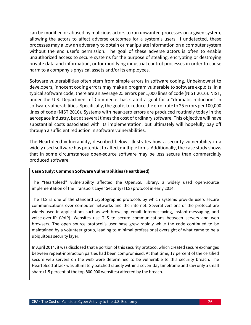can be modified or abused by malicious actors to run unwanted processes on a given system, allowing the actors to affect adverse outcomes for a system's users. If undetected, these processes may allow an adversary to obtain or manipulate information on a computer system without the end user's permission. The goal of these adverse actors is often to enable unauthorized access to secure systems for the purpose of stealing, encrypting or destroying private data and information, or for modifying industrial control processes in order to cause harm to a company's physical assets and/or its employees.

Software vulnerabilities often stem from simple errors in software coding. Unbeknownst to developers, innocent coding errors may make a program vulnerable to software exploits. In a typical software code, there are an average 25 errors per 1,000 lines of code (NIST 2016). NIST, under the U.S. Department of Commerce, has stated a goal for a "dramatic reduction" in software vulnerabilities. Specifically, the goal is to reduce the error rate to 25 errors per 100,000 lines of code (NIST 2016). Systems with near-zero errors are produced routinely today in the aerospace industry, but at several times the cost of ordinary software. This objective will have substantial costs associated with its implementation, but ultimately will hopefully pay off through a sufficient reduction in software vulnerabilities.

The Heartbleed vulnerability, described below, illustrates how a security vulnerability in a widely used software has potential to affect multiple firms. Additionally, the case study shows that in some circumstances open-source software may be less secure than commercially produced software.

#### **Case Study: Common Software Vulnerabilities (Heartbleed)**

The "Heartbleed" vulnerability affected the OpenSSL library, a widely used open-source implementation of the Transport Layer Security (TLS) protocol in early 2014.

The TLS is one of the standard cryptographic protocols by which systems provide users secure communications over computer networks and the internet. Several versions of the protocol are widely used in applications such as web browsing, email, Internet faxing, instant messaging, and voice-over-IP (VoIP). Websites use TLS to secure communications between servers and web browsers. The open source protocol's user base grew rapidly while the code continued to be maintained by a volunteer group, leading to minimal professional oversight of what came to be a ubiquitous security layer.

In April 2014, it was disclosed that a portion of this security protocol which created secure exchanges between repeat-interaction parties had been compromised. At that time, 17 percent of the certified secure web servers on the web were determined to be vulnerable to this security breach. The Heartbleed attack was ultimately patched rapidly within a seven-day timeframe and saw only a small share (1.5 percent of the top 800,000 websites) affected by the breach.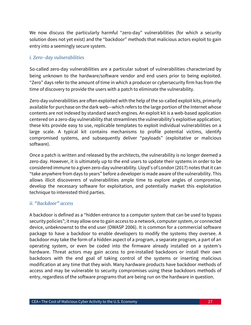We now discuss the particularly harmful "zero-day" vulnerabilities (for which a security solution does not yet exist) and the "backdoor" methods that malicious actors exploit to gain entry into a seemingly secure system.

### *i. Zero-day vulnerabilities*

So-called zero-day vulnerabilities are a particular subset of vulnerabilities characterized by being unknown to the hardware/software vendor and end users prior to being exploited. "Zero" days refer to the amount of time in which a producer or cybersecurity firm has from the time of discovery to provide the users with a patch to eliminate the vulnerability.

Zero-day vulnerabilities are often exploited with the help of the so-called exploit kits, primarily available for purchase on the dark web—which refers to the large portion of the Internet whose contents are not indexed by standard search engines. An exploit kit is a web-based application centered on a zero-day vulnerability that streamlines the vulnerability's exploitive application; these kits provide easy to use, replicable templates to exploit individual vulnerabilities on a large scale. A typical kit contains mechanisms to profile potential victims, identify compromised systems, and subsequently deliver "payloads" (exploitative or malicious software).

Once a patch is written and released by the architects, the vulnerability is no longer deemed a zero-day. However, it is ultimately up to the end users to update their systems in order to be considered immune to a given zero-day vulnerability. Lloyd's of London (2017) notes that it can "take anywhere from days to years" before a developer is made aware of the vulnerability. This allows illicit discoverers of vulnerabilities ample time to explore angles of compromise, develop the necessary software for exploitation, and potentially market this exploitation technique to interested third parties.

## *ii. "Backdoor" access*

A backdoor is defined as a "hidden entrance to a computer system that can be used to bypass security policies"; it may allow one to gain access to a network, computer system, or connected device, unbeknownst to the end user (OWASP 2006). It is common for a commercial software package to have a backdoor to enable developers to modify the systems they oversee. A backdoor may take the form of a hidden aspect of a program, a separate program, a part of an operating system, or even be coded into the firmware already installed on a system's hardware. Threat actors may gain access to pre-installed backdoors or install their own backdoors with the end goal of taking control of the systems or inserting malicious modification at any time that they wish. Many hardware products have backdoor methods of access and may be vulnerable to security compromises using these backdoors methods of entry, regardless of the software programs that are being run on the hardware in question.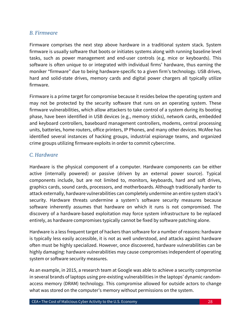## *B. Firmware*

Firmware comprises the next step above hardware in a traditional system stack. System firmware is usually software that boots or initiates systems along with running baseline level tasks, such as power management and end-user controls (e.g. mice or keyboards). This software is often unique to or integrated with individual firms' hardware, thus earning the moniker "firmware" due to being hardware-specific to a given firm's technology. USB drives, hard and solid-state drives, memory cards and digital power chargers all typically utilize firmware.

Firmware is a prime target for compromise because it resides below the operating system and may not be protected by the security software that runs on an operating system. These firmware vulnerabilities, which allow attackers to take control of a system during its booting phase, have been identified in USB devices (e.g., memory sticks), network cards, embedded and keyboard controllers, baseboard management controllers, modems, central processing units, batteries, home routers, office printers, IP Phones, and many other devices. McAfee has identified several instances of hacking groups, industrial espionage teams, and organized crime groups utilizing firmware exploits in order to commit cybercrime.

## *C. Hardware*

Hardware is the physical component of a computer. Hardware components can be either active (internally powered) or passive (driven by an external power source). Typical components include, but are not limited to, monitors, keyboards, hard and soft drives, graphics cards, sound cards, processors, and motherboards. Although traditionally harder to attack externally, hardware vulnerabilities can completely undermine an entire system stack's security. Hardware threats undermine a system's software security measures because software inherently assumes that hardware on which it runs is not compromised. The discovery of a hardware-based exploitation may force system infrastructure to be replaced entirely, as hardware compromises typically cannot be fixed by software patching alone.

Hardware is a less frequent target of hackers than software for a number of reasons: hardware is typically less easily accessible, it is not as well understood, and attacks against hardware often must be highly specialized. However, once discovered, hardware vulnerabilities can be highly damaging: hardware vulnerabilities may cause compromises independent of operating system or software security measures.

As an example, in 2015, a research team at Google was able to achieve a security compromise in several brands of laptops using pre-existing vulnerabilities in the laptops' dynamic randomaccess memory (DRAM) technology. This compromise allowed for outside actors to change what was stored on the computer's memory without permissions on the system.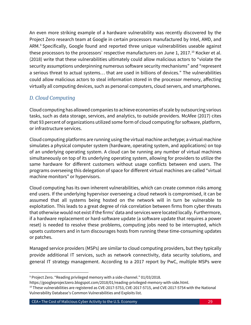An even more striking example of a hardware vulnerability was recently discovered by the Project Zero research team at Google in certain processors manufactured by Intel, AMD, and ARM. [9](#page-29-0) Specifically, Google found and reported three unique vulnerabilities useable against these processors to the processors' respective manufacturers on June 1, 2017.<sup>[10](#page-29-1)</sup> Kocker et al. (2018) write that these vulnerabilities ultimately could allow malicious actors to "violate the security assumptions underpinning numerous software security mechanisms" and "represent a serious threat to actual systems… that are used in billions of devices." The vulnerabilities could allow malicious actors to steal information stored in the processor memory, affecting virtually all computing devices, such as personal computers, cloud servers, and smartphones.

# *D. Cloud Computing*

Cloud computing has allowed companies to achieve economies of scale by outsourcing various tasks, such as data storage, services, and analytics, to outside providers. McAfee (2017) cites that 93 percent of organizations utilized some form of cloud computing for software, platform, or infrastructure services.

Cloud computing platforms are running using the virtual machine archetype; a virtual machine simulates a physical computer system (hardware, operating system, and applications) on top of an underlying operating system. A cloud can be running any number of virtual machines simultaneously on top of its underlying operating system, allowing for providers to utilize the same hardware for different customers without usage conflicts between end users. The programs overseeing this delegation of space for different virtual machines are called "virtual machine monitors" or hypervisors.

Cloud computing has its own inherent vulnerabilities, which can create common risks among end users. If the underlying hypervisor overseeing a cloud network is compromised, it can be assumed that all systems being hosted on the network will in turn be vulnerable to exploitation. This leads to a great degree of risk correlation between firms from cyber threats that otherwise would not exist if the firms' data and services were located locally. Furthermore, if a hardware replacement or hard-software update (a software update that requires a power reset) is needed to resolve these problems, computing jobs need to be interrupted, which upsets customers and in turn discourages hosts from running these time-consuming updates or patches.

Managed service providers (MSPs) are similar to cloud computing providers, but they typically provide additional IT services, such as network connectivity, data security solutions, and general IT strategy management. According to a 2017 report by PwC, multiple MSPs were

<span id="page-29-0"></span> <sup>9</sup> Project Zero. "Reading privileged memory with a side-channel." 01/03/2018.

https://googleprojectzero.blogspot.com/2018/01/reading-privileged-memory-with-side.html.

<span id="page-29-1"></span><sup>&</sup>lt;sup>10</sup> These vulnerabilities are registered as CVE-2017-5753, CVE-2017-5715, and CVE-2017-5754 with the National Vulnerability Database's Common Vulnerabilities and Exploits list.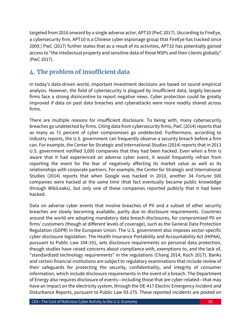targeted from 2016 onward by a single adverse actor, APT10 (PwC 2017). (According to FireEye, a cybersecurity firm, APT10 is a Chinese cyber espionage group that FireEye has tracked since 2009.) PwC (2017) further states that as a result of its activities, APT10 has potentially gained access to "the intellectual property and sensitive data of those MSPs and their clients globally" (PwC 2017).

# **4. The problem of insufficient data**

In today's data-driven world, important investment decisions are based on sound empirical analysis. However, the field of cybersecurity is plagued by insufficient data, largely because firms face a strong disincentive to report negative news. Cyber protection could be greatly improved if data on past data breaches and cyberattacks were more readily shared across firms.

There are multiple reasons for insufficient disclosure. To being with, many cybersecurity breaches go undetected by firms. Citing data from cybersecurity firms, PwC (2014) reports that as many as 71 percent of cyber compromises go undetected. Furthermore, according to industry reports, the U.S. government can frequently observe a security breach before a firm can. For example, the Center for Strategic and International Studies (2014) reports that in 2013 U.S. government notified 3,000 companies that they had been hacked. Even when a firm is aware that it had experienced an adverse cyber event, it would frequently refrain from reporting the event for the fear of negatively affecting its market value as well as its relationships with corporate partners. For example, the Center for Strategic and International Studies (2014) reports that when Google was hacked in 2010, another 34 *Fortune* 500 companies were hacked at the same time (that fact eventually became public knowledge through WikiLeaks), but only one of these companies reported publicly that it had been hacked.

Data on adverse cyber events that involve breaches of PII and a subset of other security breaches are slowly becoming available, partly due to disclosure requirements. Countries around the world are adopting mandatory data breach disclosures, for compromised PII on firms' customers (though at different levels of coverage), such as the General Data Protection Regulation (GDPR) in the European Union. The U.S. government also imposes sector-specific cyber disclosure legislation. The Health Insurance Portability and Accountability Act (HIPAA), pursuant to Public Law 104-191, sets disclosure requirements on personal data protection, though studies have raised concerns about compliance with, exemptions to, and the lack of, "standardized technology requirements" in the regulations (Chang 2014; Koch 2017). Banks and certain financial institutions are subject to regulatory examinations that include review of their safeguards for protecting the security, confidentiality, and integrity of consumer information, which include disclosure requirements in the event of a breach. The Department of Energy also requires disclosure of events—including those that are cyber-related—that may have an impact on the electricity system, through the OE-417 Electric Emergency Incident and Disturbance Reports, pursuant to Public Law 93-275. These reported incidents are posted on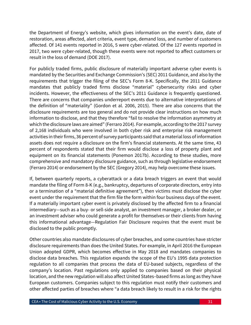the Department of Energy's website, which gives information on the event's date, date of restoration, areas affected, alert criteria, event type, demand loss, and number of customers affected. Of 141 events reported in 2016, 5 were cyber-related. Of the 127 events reported in 2017, two were cyber-related, though these events were not reported to affect customers or result in the loss of demand (DOE 2017).

For publicly traded firms, public disclosure of materially important adverse cyber events is mandated by the Securities and Exchange Commission's (SEC) 2011 Guidance, and also by the requirements that trigger the filing of the SEC's Form 8-K. Specifically, the 2011 Guidance mandates that publicly traded firms disclose "material" cybersecurity risks and cyber incidents. However, the effectiveness of the SEC's 2011 Guidance is frequently questioned. There are concerns that companies underreport events due to alternative interpretations of the definition of "materiality" (Gordon et al. 2006, 2015). There are also concerns that the disclosure requirements are too general and do not provide clear instructions on how much information to disclose, and that they therefore "fail to resolve the information asymmetry at which the disclosure laws are aimed" (Ferraro 2014). For example, according to the 2017 survey of 2,168 individuals who were involved in both cyber risk and enterprise risk management activities in their firms, 36 percent of survey participants said that a material loss of information assets does not require a disclosure on the firm's financial statements. At the same time, 43 percent of respondents stated that their firm would disclose a loss of property plant and equipment on its financial statements (Ponemon 2017b). According to these studies, more comprehensive and mandatory disclosure guidance, such as through legislative endorsement (Ferraro 2014) or endorsement by the SEC (Gregory 2014), may help overcome these issues.

If, between quarterly reports, a cyberattack or a data breach triggers an event that would mandate the filing of Form 8-K (e.g., bankruptcy, departures of corporate directors, entry into or a termination of a "material definitive agreement"), then victims must disclose the cyber event under the requirement that the firm file the form within four business days of the event. If a materially important cyber event is privately disclosed by the affected firm to a financial intermediary—such as a buy- or sell-side analyst, an investment manager, a broker dealer, or an investment adviser who could generate a profit for themselves or their clients from having this informational advantage—Regulation Fair Disclosure requires that the event must be disclosed to the public promptly.

Other countries also mandate disclosures of cyber breaches, and some countries have stricter disclosure requirements than does the United States. For example, in April 2016 the European Union adopted GDPR, which becomes effective in May 2018 and mandates companies to disclose data breaches. This regulation expands the scope of the EU's 1995 data protection regulation to all companies that process the data of EU-based subjects, regardless of the company's location. Past regulations only applied to companies based on their physical location, and the new regulation will also affect United States–based firms as long as they have European customers. Companies subject to this regulation must notify their customers and other affected parties of breaches where "a data breach likely to result in a risk for the rights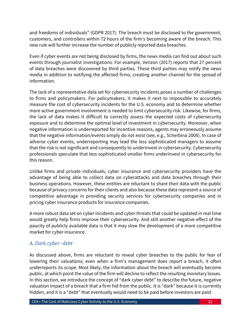and freedoms of individuals" (GDPR 2017). The breach must be disclosed to the government, customers, and controllers within 72 hours of the firm's becoming aware of the breach. This new rule will further increase the number of publicly reported data breaches.

Even if cyber events are not being disclosed by firms, the news media can find out about such events through journalist investigations. For example, Verizon (2017) reports that 27 percent of data breaches were discovered by third parties. These third parties may notify the news media in addition to notifying the affected firms, creating another channel for the spread of information.

The lack of a representative data set for cybersecurity incidents poses a number of challenges to firms and policymakers. For policymakers, it makes it next to impossible to accurately measure the cost of cybersecurity incidents for the U.S. economy and to determine whether more active government involvement is needed to limit cybersecurity risk. Likewise, for firms, the lack of data makes it difficult to correctly assess the expected costs of cybersecurity exposure and to determine the optimal level of investment in cybersecurity. Moreover, when negative information is underreported for incentive reasons, agents may erroneously assume that the negative information/events simply do not exist (see, e.g., Scherbina 2008). In case of adverse cyber events, underreporting may lead the less sophisticated managers to assume that the risk is not significant and consequently to underinvest in cybersecurity. Cybersecurity professionals speculate that less sophisticated smaller firms underinvest in cybersecurity for this reason.

Unlike firms and private individuals, cyber insurance and cybersecurity providers have the advantage of being able to collect data on cyberattacks and data breaches through their business operations. However, these entities are reluctant to share their data with the public because of privacy concerns for their clients and also because these data represent a source of competitive advantage in providing security services for cybersecurity companies and in pricing cyber insurance products for insurance companies.

A more robust data set on cyber incidents and cyber threats that could be updated in real time would greatly help firms improve their cybersecurity. And still another negative effect of the paucity of publicly available data is that it may slow the development of a more competitive market for cyber insurance.

# *A. Dark cyber-debt*

As discussed above, firms are reluctant to reveal cyber breaches to the public for fear of lowering their valuations; even when a firm's management does report a breach, it often underreports its scope. Most likely, the information about the breach will eventually become public, at which point the value of the firm will decline to reflect the resulting monetary losses. In this section, we introduce the concept of "dark cyber debt" to describe the future, negative valuation impact of a breach that a firm hid from the public. It is "dark" because it is currently hidden, and it is a "debt" that eventually would need to be paid before investors are paid.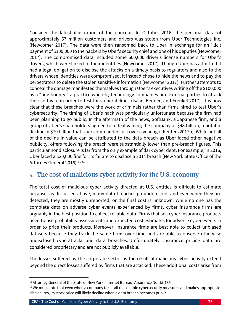Consider the latest illustration of the concept. In October 2016, the personal data of approximately 57 million customers and drivers was stolen from Uber Technologies Inc. (Newcomer 2017). The data were then ransomed back to Uber in exchange for an illicit payment of \$100,000 to the hackers by Uber's security chief and one of his deputies (Newcomer 2017). The compromised data included some 600,000 driver's license numbers for Uber's drivers, which were linked to their identities (Newcomer 2017). Though Uber has admitted it had a legal obligation to disclose the attacks on a timely basis to regulators and also to the drivers whose identities were compromised, it instead chose to hide the news and to pay the perpetrators to delete the stolen sensitive information (Newcomer 2017). Further attempts to conceal the damage manifested themselves through Uber's executives writing off the \$100,000 as a "bug bounty," a practice whereby technology companies hire external parties to attack their software in order to test for vulnerabilities (Isaac, Benner, and Frenkel 2017). It is now clear that these breaches were the work of criminals rather than firms hired to test Uber's cybersecurity. The timing of Uber's hack was particularly unfortunate because the firm had been planning to go public. In the aftermath of the news, SoftBank, a Japanese firm, and a group of Uber's shareholders agreed to a deal valuing the company at \$48 billion, a notable decline in \$70 billion that Uber commanded just over a year ago (Reuters 2017b). While not all of the decline in value can be attributed to the data breach as Uber faced other negative publicity, offers following the breach were substantially lower than pre-breach figures. This particular nondisclosure is far from the only example of dark cyber debt. For example, in 2016, Uber faced a \$20,000 fine for its failure to disclose a 2014 breach (New York State Office of the Attorney General 2016).<sup>[11](#page-33-0),[12](#page-33-1)</sup>

# **5. The cost of malicious cyber activity for the U.S. economy**

The total cost of malicious cyber activity directed at U.S. entities is difficult to estimate because, as discussed above, many data breaches go undetected, and even when they are detected, they are mostly unreported, or the final cost is unknown. While no one has the complete data on adverse cyber events experienced by firms, cyber insurance firms are arguably in the best position to collect reliable data. Firms that sell cyber insurance products need to use probability assessments and expected cost estimates for adverse cyber events in order to price their products. Moreover, insurance firms are best able to collect unbiased datasets because they track the same firms over time and are able to observe otherwise undisclosed cyberattacks and data breaches. Unfortunately, insurance pricing data are considered proprietary and are not publicly available.

The losses suffered by the corporate sector as the result of malicious cyber activity extend beyond the direct losses suffered by firms that are attacked. These additional costs arise from

<span id="page-33-0"></span><sup>&</sup>lt;sup>11</sup> Attorney General of the State of New York, Internet Bureau, Assurance No. 15-185.

<span id="page-33-1"></span> $12$  We must note that even when a company takes all reasonable cybersecurity measures and makes appropriate disclosures, its stock price will likely decline when a data breach becomes public.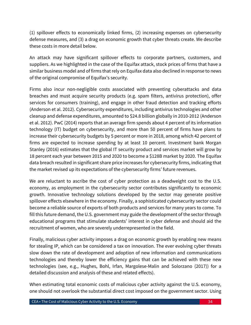(1) spillover effects to economically linked firms, (2) increasing expenses on cybersecurity defense measures, and (3) a drag on economic growth that cyber threats create. We describe these costs in more detail below.

An attack may have significant spillover effects to corporate partners, customers, and suppliers. As we highlighted in the case of the Equifax attack, stock prices of firms that have a similar business model and of firms that rely on Equifax data also declined in response to news of the original compromise of Equifax's security.

Firms also incur non-negligible costs associated with preventing cyberattacks and data breaches and must acquire security products (e.g. spam filters, antivirus protection), offer services for consumers (training), and engage in other fraud detection and tracking efforts (Anderson et al. 2012). Cybersecurity expenditures, including antivirus technologies and other cleanup and defense expenditures, amounted to \$24.8 billion globally in 2010-2012 (Anderson et al. 2012). PwC (2014) reports that an average firm spends about 4 percent of its information technology (IT) budget on cybersecurity, and more than 50 percent of firms have plans to increase their cybersecurity budgets by 5 percent or more in 2018, among which 42 percent of firms are expected to increase spending by at least 10 percent. Investment bank Morgan Stanley (2016) estimates that the global IT security product and services market will grow by 18 percent each year between 2015 and 2020 to become a \$128B market by 2020. The Equifax data breach resulted in significant share price increases for cybersecurity firms, indicating that the market revised up its expectations of the cybersecurity firms' future revenues.

We are reluctant to ascribe the cost of cyber protection as a deadweight cost to the U.S. economy, as employment in the cybersecurity sector contributes significantly to economic growth. Innovative technology solutions developed by the sector may generate positive spillover effects elsewhere in the economy. Finally, a sophisticated cybersecurity sector could become a reliable source of exports of both products and services for many years to come. To fill this future demand, the U.S. government may guide the development of the sector through educational programs that stimulate students' interest in cyber defense and should aid the recruitment of women, who are severely underrepresented in the field.

Finally, malicious cyber activity imposes a drag on economic growth by enabling new means for stealing IP, which can be considered a tax on innovation. The ever evolving cyber threats slow down the rate of development and adoption of new information and communications technologies and thereby lower the efficiency gains that can be achieved with these new technologies (see, e.g., Hughes, Bohl, Irfan, Margolese-Malin and Solorzano (2017)) for a detailed discussion and analysis of these and related effects).

When estimating total economic costs of malicious cyber activity against the U.S. economy, one should not overlook the substantial direct cost imposed on the government sector. Using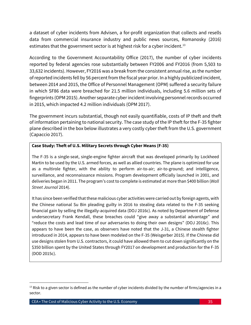a dataset of cyber incidents from Advisen, a for-profit organization that collects and resells data from commercial insurance industry and public news sources, Romanosky (2016) estimates that the government sector is at highest risk for a cyber incident. [13](#page-35-0)

According to the Government Accountability Office (2017), the number of cyber incidents reported by federal agencies rose substantially between FY2006 and FY2016 (from 5,503 to 33,632 incidents). However, FY2016 was a break from the consistent annual rise, as the number of reported incidents fell by 56 percent from the fiscal year prior. In a highly publicized incident, between 2014 and 2015, the Office of Personnel Management (OPM) suffered a security failure in which SF86 data were breached for 21.5 million individuals, including 5.6 million sets of fingerprints (OPM 2015). Another separate cyber incident involving personnel records occurred in 2015, which impacted 4.2 million individuals (OPM 2017).

The government incurs substantial, though not easily quantifiable, costs of IP theft and theft of information pertaining to national security. The case study of the IP theft for the F-35 fighter plane described in the box below illustrates a very costly cyber theft from the U.S. government (Capaccio 2017).

### **Case Study: Theft of U.S. Military Secrets through Cyber Means (F-35)**

The F-35 is a single-seat, single-engine fighter aircraft that was developed primarily by Lockheed Martin to be used by the U.S. armed forces, as well as allied countries. The plane is optimized for use as a multirole fighter, with the ability to perform air-to-air; air-to-ground; and intelligence, surveillance, and reconnaissance missions. Program development officially launched in 2001, and deliveries began in 2011. The program's cost to complete is estimated at more than \$400 billion (*Wall Street Journal* 2014).

It has since been verified that these malicious cyber activities were carried out by foreign agents, with the Chinese national Su Bin pleading guilty in 2016 to stealing data related to the F-35 seeking financial gain by selling the illegally-acquired data (DOJ 2016c). As noted by Department of Defense undersecretary Frank Kendall, these breaches could "give away a substantial advantage" and "reduce the costs and lead time of our adversaries to doing their own designs" (DOJ 2016c). This appears to have been the case, as observers have noted that the J-31, a Chinese stealth fighter introduced in 2014, appears to have been modeled on the F-35 (Weisgerber 2015). If the Chinese did use designs stolen from U.S. contractors, it could have allowed them to cut down significantly on the \$350 billion spent by the United States through FY2017 on development and production for the F-35 (DOD 2015c).

<span id="page-35-0"></span><sup>&</sup>lt;sup>13</sup> Risk to a given sector is defined as the number of cyber incidents divided by the number of firms/agencies in a sector.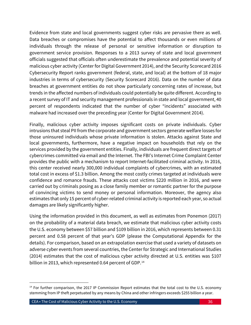Evidence from state and local governments suggest cyber risks are pervasive there as well. Data breaches or compromises have the potential to affect thousands or even millions of individuals through the release of personal or sensitive information or disruption to government service provision. Responses to a 2013 survey of state and local government officials suggested that officials often underestimate the prevalence and potential severity of malicious cyber activity (Center for Digital Government 2014), and the Security Scorecard 2016 Cybersecurity Report ranks government (federal, state, and local) at the bottom of 18 major industries in terms of cybersecurity (Security Scorecard 2016). Data on the number of data breaches at government entities do not show particularly concerning rates of increase, but trends in the affected numbers of individuals could potentially be quite different. According to a recent survey of IT and security management professionals in state and local government, 40 percent of respondents indicated that the number of cyber "incidents" associated with malware had increased over the preceding year (Center for Digital Government 2014).

Finally, malicious cyber activity imposes significant costs on private individuals. Cyber intrusions that steal PII from the corporate and government sectors generate welfare losses for those uninsured individuals whose private information is stolen. Attacks against State and local governments, furthermore, have a negative impact on households that rely on the services provided by the government entities. Finally, individuals are frequent direct targets of cybercrimes committed via email and the Internet. The FBI's Internet Crime Complaint Center provides the public with a mechanism to report Internet-facilitated criminal activity. In 2016, this center received nearly 300,000 individual complaints of cybercrimes, with an estimated total cost in excess of \$1.3 billion. Among the most costly crimes targeted at individuals were confidence and romance frauds. These attacks cost victims \$220 million in 2016, and were carried out by criminals posing as a close family member or romantic partner for the purpose of convincing victims to send money or personal information. Moreover, the agency also estimates that only 15 percent of cyber-related criminal activity is reported each year, so actual damages are likely significantly higher.

Using the information provided in this document, as well as estimates from Ponemon (2017) on the probability of a material data breach, we estimate that malicious cyber activity costs the U.S. economy between \$57 billion and \$109 billion in 2016, which represents between 0.31 percent and 0.58 percent of that year's GDP (please the Computational Appendix for the details). For comparison, based on an extrapolation exercise that used a variety of datasets on adverse cyber events from several countries, the Center for Strategic and International Studies (2014) estimates that the cost of malicious cyber activity directed at U.S. entities was \$107 billion in 2013, which represented 0.64 percent of GDP.<sup>[14](#page-36-0)</sup>

<span id="page-36-0"></span><sup>&</sup>lt;sup>14</sup> For further comparison, the 2017 IP Commission Report estimates that the total cost to the U.S. economy stemming from IP theft perpetuated by any means by China and other infringers exceeds \$255 billion a year.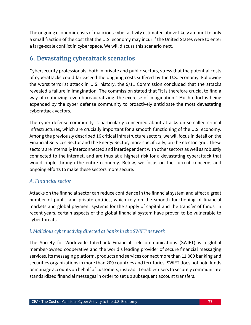The ongoing economic costs of malicious cyber activity estimated above likely amount to only a small fraction of the cost that the U.S. economy may incur if the United States were to enter a large-scale conflict in cyber space. We will discuss this scenario next.

# **6. Devastating cyberattack scenarios**

Cybersecurity professionals, both in private and public sectors, stress that the potential costs of cyberattacks could far exceed the ongoing costs suffered by the U.S. economy. Following the worst terrorist attack in U.S. history, the 9/11 Commission concluded that the attacks revealed a failure in imagination. The commission stated that "it is therefore crucial to find a way of routinizing, even bureaucratizing, the exercise of imagination." Much effort is being expended by the cyber defense community to proactively anticipate the most devastating cyberattack vectors.

The cyber defense community is particularly concerned about attacks on so-called critical infrastructures, which are crucially important for a smooth functioning of the U.S. economy. Among the previously described 16 critical infrastructure sectors, we will focus in detail on the Financial Services Sector and the Energy Sector, more specifically, on the electric grid. These sectors are internally interconnected and interdependent with other sectors as well as robustly connected to the internet, and are thus at a highest risk for a devastating cyberattack that would ripple through the entire economy. Below, we focus on the current concerns and ongoing efforts to make these sectors more secure.

# *A. Financial sector*

Attacks on the financial sector can reduce confidence in the financial system and affect a great number of public and private entities, which rely on the smooth functioning of financial markets and global payment systems for the supply of capital and the transfer of funds. In recent years, certain aspects of the global financial system have proven to be vulnerable to cyber threats.

## *i. Malicious cyber activity directed at banks in the SWIFT network*

The Society for Worldwide Interbank Financial Telecommunications (SWIFT) is a global member-owned cooperative and the world's leading provider of secure financial messaging services. Its messaging platform, products and services connect more than 11,000 banking and securities organizations in more than 200 countries and territories. SWIFT does not hold funds or manage accounts on behalf of customers; instead, it enables users to securely communicate standardized financial messages in order to set up subsequent account transfers.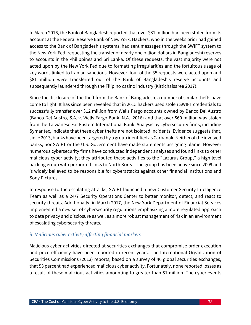In March 2016, the Bank of Bangladesh reported that over \$81 million had been stolen from its account at the Federal Reserve Bank of New York. Hackers, who in the weeks prior had gained access to the Bank of Bangladesh's systems, had sent messages through the SWIFT system to the New York Fed, requesting the transfer of nearly one billion dollars in Bangladeshi reserves to accounts in the Philippines and Sri Lanka. Of these requests, the vast majority were not acted upon by the New York Fed due to formatting irregularities and the fortuitous usage of key words linked to Iranian sanctions. However, four of the 35 requests were acted upon and \$81 million were transferred out of the Bank of Bangladesh's reserve accounts and subsequently laundered through the Filipino casino industry (Kittichaisaree 2017).

Since the disclosure of the theft from the Bank of Bangladesh, a number of similar thefts have come to light. It has since been revealed that in 2015 hackers used stolen SWIFT credentials to successfully transfer over \$12 million from Wells Fargo accounts owned by Banco Del Austro (Banco Del Austro, S.A. v. Wells Fargo Bank, N.A., 2016) and that over \$60 million was stolen from the Taiwanese Far Eastern International Bank. Analysis by cybersecurity firms, including Symantec, indicate that these cyber thefts are not isolated incidents. Evidence suggests that, since 2013, banks have been targeted by a group identified as Carbanak.Neither of the involved banks, nor SWIFT or the U.S. Government have made statements assigning blame. However numerous cybersecurity firms have conducted independent analyses and found links to other malicious cyber activity; they attributed these activities to the "Lazurus Group," a high level hacking group with purported links to North Korea. The group has been active since 2009 and is widely believed to be responsible for cyberattacks against other financial institutions and Sony Pictures.

In response to the escalating attacks, SWIFT launched a new Customer Security Intelligence Team as well as a 24/7 Security Operations Center to better monitor, detect, and react to security threats. Additionally, in March 2017, the New York Department of Financial Services implemented a new set of cybersecurity regulations emphasizing a more regulated approach to data privacy and disclosure as well as a more robust management of risk in an environment of escalating cybersecurity threats.

## *ii. Malicious cyber activity affecting financial markets*

Malicious cyber activities directed at securities exchanges that compromise order execution and price efficiency have been reported in recent years. The International Organization of Securities Commissions (2013) reports, based on a survey of 46 global securities exchanges, that 53 percent had experienced malicious cyber activity. Fortunately, none reported losses as a result of these malicious activities amounting to greater than \$1 million. The cyber events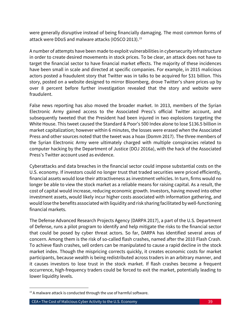were generally disruptive instead of being financially damaging. The most common forms of attack were DDoS and malware attacks (IOSCO 2013). [15](#page-39-0)

A number of attempts have been made to exploit vulnerabilities in cybersecurity infrastructure in order to create desired movements in stock prices. To be clear, an attack does not have to target the financial sector to have financial market effects. The majority of these incidences have been small in scale and directed at specific companies. For example, in 2015 malicious actors posted a fraudulent story that Twitter was in talks to be acquired for \$31 billion. This story, posted on a website designed to mirror Bloomberg, drove Twitter's share prices up by over 8 percent before further investigation revealed that the story and website were fraudulent.

False news reporting has also moved the broader market. In 2013, members of the Syrian Electronic Army gained access to the Associated Press's official Twitter account, and subsequently tweeted that the President had been injured in two explosions targeting the White House. This tweet caused the Standard & Poor's 500 Index alone to lose \$136.5 billion in market capitalization; however within 6 minutes, the losses were erased when the Associated Press and other sources noted that the tweet was a hoax (Domm 2017). The three members of the Syrian Electronic Army were ultimately charged with multiple conspiracies related to computer hacking by the Department of Justice (DOJ 2016a), with the hack of the Associated Press's Twitter account used as evidence.

Cyberattacks and data breaches in the financial sector could impose substantial costs on the U.S. economy. If investors could no longer trust that traded securities were priced efficiently, financial assets would lose their attractiveness as investment vehicles. In turn, firms would no longer be able to view the stock market as a reliable means for raising capital. As a result, the cost of capital would increase, reducing economic growth. Investors, having moved into other investment assets, would likely incur higher costs associated with information gathering, and would lose the benefits associated with liquidity and risk sharing facilitated by well-functioning financial markets.

The Defense Advanced Research Projects Agency (DARPA 2017), a part of the [U.S. Department](https://en.wikipedia.org/wiki/United_States_Department_of_Defense)  [of Defense,](https://en.wikipedia.org/wiki/United_States_Department_of_Defense) runs a pilot program to identify and help mitigate the risks to the financial sector that could be posed by cyber threat actors. So far, DARPA has identified several areas of concern. Among them is the risk of so-called flash crashes, named after the 2010 Flash Crash. To achieve flash crashes, sell orders can be manipulated to cause a rapid decline in the stock market index. Though the mispricing corrects quickly, it creates economic costs for market participants, because wealth is being redistributed across traders in an arbitrary manner, and it causes investors to lose trust in the stock market. If flash crashes become a frequent occurrence, high-frequency traders could be forced to exit the market, potentially leading to lower liquidity levels.

<span id="page-39-0"></span> $15$  A malware attack is conducted through the use of harmful software.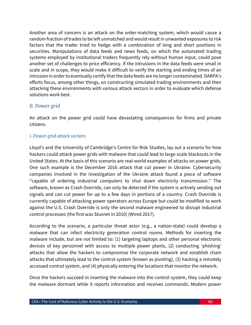Another area of concern is an attack on the order-matching system, which would cause a random fraction of trades to be left unmatched and would result in unwanted exposures to risk factors that the trader tried to hedge with a combination of long and short positions in securities. Manipulations of data feeds and news feeds, on which the automated trading systems employed by institutional traders frequently rely without human input, could pose another set of challenges to price efficiency. If the intrusions in the data feeds were small in scale and in scope, they would make it difficult to verify the starting and ending times of an intrusion in order to eventually certify that the data feeds are no longer contaminated. DARPA's efforts focus, among other things, on constructing simulated trading environments and then attacking these environments with various attack vectors in order to evaluate which defense solutions work best.

# *B. Power grid*

An attack on the power grid could have devastating consequences for firms and private citizens.

### *i. Power grid attack vectors*

Lloyd's and the University of Cambridge's Centre for Risk Studies, lay out a scenario for how hackers could attack power grids with malware that could lead to large-scale blackouts in the United States. At the basis of this scenario are real-world examples of attacks on power grids. One such example is the December 2016 attack that cut power in Ukraine. Cybersecurity companies involved in the investigation of the Ukraine attack found a piece of software "capable of ordering industrial computers to shut down electricity transmission." The software, known as Crash Override, can only be detected if the system is actively sending out signals and can cut power for up to a few days in portions of a country. Crash Override is currently capable of attacking power operators across Europe but could be modified to work against the U.S. Crash Override is only the second malware engineered to disrupt industrial control processes (the first was Stuxnet in 2010) (Wired 2017).

According to the scenario, a particular threat actor (e.g., a nation-state) could develop a malware that can infect electricity generation control rooms. Methods for inserting the malware include, but are not limited to: (1) targeting laptops and other personal electronic devices of key personnel with access to multiple power plants, (2) conducting 'phishing' attacks that allow the hackers to compromise the corporate network and establish chain attacks that ultimately lead to the control system (known as pivoting), (3) hacking a remotely accessed control system, and (4) physically entering the locations that monitor the network.

Once the hackers succeed in inserting the malware into the control system, they could keep the malware dormant while it reports information and receives commands. Modern power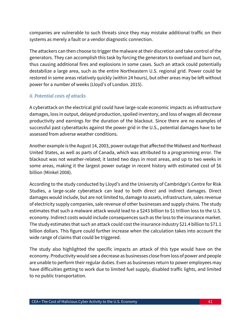companies are vulnerable to such threats since they may mistake additional traffic on their systems as merely a fault or a vendor diagnostic connection.

The attackers can then choose to trigger the malware at their discretion and take control of the generators. They can accomplish this task by forcing the generators to overload and burn out, thus causing additional fires and explosions in some cases. Such an attack could potentially destabilize a large area, such as the entire Northeastern U.S. regional grid. Power could be restored in some areas relatively quickly (within 24 hours), but other areas may be left without power for a number of weeks (Lloyd's of London. 2015).

## *ii. Potential costs of attacks*

A cyberattack on the electrical grid could have large-scale economic impacts as infrastructure damages, loss in output, delayed production, spoiled inventory, and loss of wages all decrease productivity and earnings for the duration of the blackout. Since there are no examples of successful past cyberattacks against the power grid in the U.S., potential damages have to be assessed from adverse weather conditions.

Another example is the August 14, 2003, power outage that affected the Midwest and Northeast United States, as well as parts of Canada, which was attributed to a programming error. The blackout was not weather-related; it lasted two days in most areas, and up to two weeks in some areas, making it the largest power outage in recent history with estimated cost of \$6 billion (Minkel 2008).

According to the study conducted by Lloyd's and the University of Cambridge's Centre for Risk Studies, a large-scale cyberattack can lead to both direct and indirect damages. Direct damages would include, but are not limited to, damage to assets, infrastructure, sales revenue of electricity supply companies, sale revenue of other businesses and supply chains. The study estimates that such a malware attack would lead to a \$243 billion to \$1 trillion loss to the U.S. economy. Indirect costs would include consequences such as the loss to the insurance market. The study estimates that such an attack could cost the insurance industry \$21.4 billion to \$71.1 billion dollars. This figure could further increase when the calculation takes into account the wide range of claims that could be triggered.

The study also highlighted the specific impacts an attack of this type would have on the economy. Productivity would see a decrease as businesses close from loss of power and people are unable to perform their regular duties. Even as businesses return to power employees may have difficulties getting to work due to limited fuel supply, disabled traffic lights, and limited to no public transportation.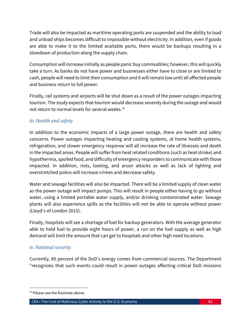Trade will also be impacted as maritime operating ports are suspended and the ability to load and unload ships becomes difficult to impossible without electricity. In addition, even if goods are able to make it to the limited available ports, there would be backups resulting in a slowdown of production along the supply chain.

Consumption will increase initially as people panic buy commodities; however, this will quickly take a turn. As banks do not have power and businesses either have to close or are limited to cash, people will need to limit their consumption and it will remain low until all affected people and business return to full power.

Finally, rail systems and airports will be shut down as a result of the power outages impacting tourism. The study expects that tourism would decrease severely during the outage and would not return to normal levels for several weeks.[16](#page-42-0)

# *iii. Health and safety*

In addition to the economic impacts of a large power outage, there are health and safety concerns. Power outages impacting heating and cooling systems, at home health systems, refrigeration, and slower emergency response will all increase the rate of illnesses and death in the impacted areas. People will suffer from heat related conditions (such as heat stroke) and hypothermia, spoiled food, and difficulty of emergency responders to communicate with those impacted. In addition, riots, looting, and arson attacks as well as lack of lighting and overstretched police will increase crimes and decrease safety.

Water and sewage facilities will also be impacted. There will be a limited supply of clean water as the power outage will impact pumps. This will result in people either having to go without water, using a limited portable water supply, and/or drinking contaminated water. Sewage plants will also experience spills as the facilities will not be able to operate without power (Lloyd's of London 2015).

Finally, hospitals will see a shortage of fuel for backup generators. With the average generator able to hold fuel to provide eight hours of power, a run on the fuel supply as well as high demand will limit the amount that can get to hospitals and other high need locations.

# *iv. National security*

Currently, 85 percent of the DoD's energy comes from commercial sources. The Department "recognizes that such events could result in power outages affecting critical DoD missions

<span id="page-42-0"></span><sup>&</sup>lt;sup>16</sup> Please see the footnote above.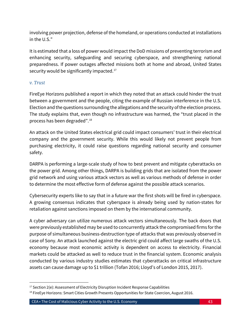involving power projection, defense of the homeland, or operations conducted at installations in the U.S."

It is estimated that a loss of power would impact the DoD missions of preventing terrorism and enhancing security, safeguarding and securing cyberspace, and strengthening national preparedness. If power outages affected missions both at home and abroad, United States security would be significantly impacted. [17](#page-43-0)

## *v. Trust*

FireEye Horizons published a report in which they noted that an attack could hinder the trust between a government and the people, citing the example of Russian interference in the U.S. Election and the questions surrounding the allegations and the security of the election process. The study explains that, even though no infrastructure was harmed, the "trust placed in the process has been degraded".[18](#page-43-1)

An attack on the United States electrical grid could impact consumers' trust in their electrical company and the government security. While this would likely not prevent people from purchasing electricity, it could raise questions regarding national security and consumer safety.

DARPA is performing a large-scale study of how to best prevent and mitigate cyberattacks on the power grid. Among other things, DARPA is building grids that are isolated from the power grid network and using various attack vectors as well as various methods of defense in order to determine the most effective form of defense against the possible attack scenarios.

Cybersecurity experts like to say that in a future war the first shots will be fired in cyberspace. A growing consensus indicates that cyberspace is already being used by nation-states for retaliation against sanctions imposed on them by the international community.

A cyber adversary can utilize numerous attack vectors simultaneously. The back doors that were previously established may be used to concurrently attack the compromised firms for the purpose of simultaneous business-destruction type of attacks that was previously observed in case of Sony. An attack launched against the electric grid could affect large swaths of the U.S. economy because most economic activity is dependent on access to electricity. Financial markets could be attacked as well to reduce trust in the financial system. Economic analysis conducted by various industry studies estimates that cyberattacks on critical infrastructure assets can cause damage up to \$1 trillion (Tofan 2016; Lloyd's of London 2015, 2017).

<span id="page-43-0"></span> $17$  Section 2(e): Assessment of Electricity Disruption Incident Response Capabilities

<span id="page-43-1"></span> $18$  FireEye Horizons: Smart Cities Growth Presents Opportunities for State Coercion, August 2016.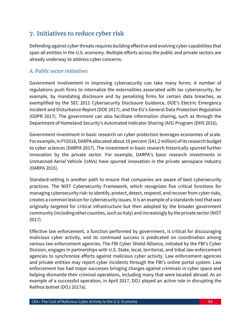# **7. Initiatives to reduce cyber risk**

Defending against cyber threats requires building effective and evolving cyber capabilities that span all entities in the U.S. economy. Multiple efforts across the public and private sectors are already underway to address cyber concerns.

# *A. Public sector initiatives*

Government involvement in improving cybersecurity can take many forms. A number of regulations push firms to internalize the externalities associated with lax cybersecurity, for example, by mandating disclosure and by penalizing firms for certain data breaches, as exemplified by the SEC 2011 Cybersecurity Disclosure Guidance, DOE's Electric Emergency Incident and Disturbance Report (DOE 2017), and the EU's General Data Protection Regulation (GDPR 2017). The government can also facilitate information sharing, such as through the Department of Homeland Security's Automated Indicator Sharing (AIS) Program (DHS 2016).

Government investment in basic research on cyber protection leverages economies of scale. For example, in FY2018, DARPA allocated about 10 percent (\$41.2 million) of its research budget to cyber sciences (DARPA 2017). The investment in basic research historically spurred further innovation by the private sector. For example, DARPA's basic research investments in Unmanned Aerial Vehicle (UAVs) have spurred innovation in the private aerospace industry (DARPA 2015).

Standard-setting is another path to ensure that companies are aware of best cybersecurity practices. The NIST Cybersecurity Framework, which recognizes five critical functions for managing cybersecurity risk: to identify, protect, detect, respond, and recover from cyber risks, creates a common lexicon for cybersecurity issues. It is an example of a standards tool that was originally targeted for critical infrastructure but then adopted by the broader government community (including other counties, such as Italy) and increasingly by the private sector (NIST 2017).

Effective law enforcement, a function performed by government, is critical for discouraging malicious cyber activity, and its continued success is predicated on coordination among various law enforcement agencies. The FBI Cyber Shield Alliance, initiated by the FBI's Cyber Division, engages in partnerships with U.S. State, local, territorial, and tribal law enforcement agencies to synchronize efforts against malicious cyber activity. Law enforcement agencies and private entities may report cyber incidents through the FBI's online portal system. Law enforcement has had major successes bringing charges against criminals in cyber space and helping dismantle their criminal operations, including many that were located abroad. As an example of a successful operation, in April 2017, DOJ played an active role in disrupting the Kelihos botnet (DOJ 2017a).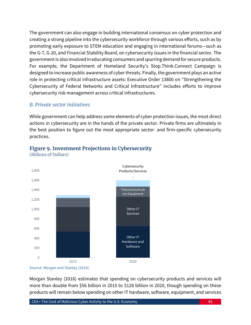The government can also engage in building international consensus on cyber protection and creating a strong pipeline into the cybersecurity workforce through various efforts, such as by promoting early exposure to STEM education and engaging in international forums—such as the G-7, G-20, and Financial Stability Board, on cybersecurity issues in the financial sector. The government is also involved in educating consumers and spurring demand for secure products. For example, the Department of Homeland Security's Stop.Think.Connect Campaign is designed to increase public awareness of cyber threats. Finally, the government plays an active role in protecting critical infrastructure assets: Executive Order 13800 on "Strengthening the Cybersecurity of Federal Networks and Critical Infrastructure" includes efforts to improve cybersecurity risk management across critical infrastructures.

## *B. Private sector initiatives*

While government can help address some elements of cyber protection issues, the most direct actions in cybersecurity are in the hands of the private sector. Private firms are ultimately in the best position to figure out the most appropriate sector- and firm-specific cybersecurity practices.



### **Figure 9. Investment Projections in Cybersecurity** (Billions of Dollars)

Morgan Stanley (2016) estimates that spending on cybersecurity products and services will more than double from \$56 billion in 2015 to \$128 billion in 2020, though spending on these products will remain below spending on other IT hardware, software, equipment, and services

CEA • The Cost of Malicious Cyber Activity to the U.S. Economy 45

Source: Morgan and Stanley (2016).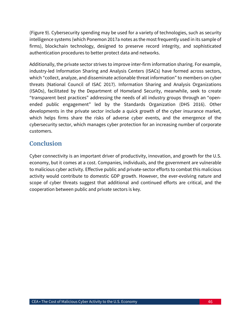(Figure 9). Cybersecurity spending may be used for a variety of technologies, such as security intelligence systems (which Ponemon 2017a notes as the most frequently used in its sample of firms), blockchain technology, designed to preserve record integrity, and sophisticated authentication procedures to better protect data and networks.

Additionally, the private sector strives to improve inter-firm information sharing. For example, industry-led Information Sharing and Analysis Centers (ISACs) have formed across sectors, which "collect, analyze, and disseminate actionable threat information" to members on cyber threats (National Council of ISAC 2017). Information Sharing and Analysis Organizations (ISAOs), facilitated by the Department of Homeland Security, meanwhile, seek to create "transparent best practices" addressing the needs of all industry groups through an "openended public engagement" led by the Standards Organization (DHS 2016). Other developments in the private sector include a quick growth of the cyber insurance market, which helps firms share the risks of adverse cyber events, and the emergence of the cybersecurity sector, which manages cyber protection for an increasing number of corporate customers.

# **Conclusion**

Cyber connectivity is an important driver of productivity, innovation, and growth for the U.S. economy, but it comes at a cost. Companies, individuals, and the government are vulnerable to malicious cyber activity. Effective public and private-sector efforts to combat this malicious activity would contribute to domestic GDP growth. However, the ever-evolving nature and scope of cyber threats suggest that additional and continued efforts are critical, and the cooperation between public and private sectors is key.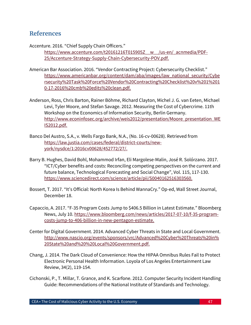# **References**

Accenture. 2016. "Chief Supply Chain Officers."

[https://www.accenture.com/t20161216T015905Z\\_\\_w\\_\\_/us-en/\\_acnmedia/PDF-](https://www.accenture.com/t20161216T015905Z__w__/us-en/_acnmedia/PDF-25/Accenture-Strategy-Supply-Chain-Cybersecurity-POV.pdf)[25/Accenture-Strategy-Supply-Chain-Cybersecurity-POV.pdf.](https://www.accenture.com/t20161216T015905Z__w__/us-en/_acnmedia/PDF-25/Accenture-Strategy-Supply-Chain-Cybersecurity-POV.pdf)

American Bar Association. 2016. "Vendor Contracting Project: Cybersecurity Checklist." [https://www.americanbar.org/content/dam/aba/images/law\\_national\\_security/Cybe](https://www.americanbar.org/content/dam/aba/images/law_national_security/Cybersecurity%20Task%20Force%20Vendor%20Contracting%20Checklist%20v%201%2010-17-2016%20cmb%20edits%20clean.pdf) [rsecurity%20Task%20Force%20Vendor%20Contracting%20Checklist%20v%201%201](https://www.americanbar.org/content/dam/aba/images/law_national_security/Cybersecurity%20Task%20Force%20Vendor%20Contracting%20Checklist%20v%201%2010-17-2016%20cmb%20edits%20clean.pdf) [0-17-2016%20cmb%20edits%20clean.pdf.](https://www.americanbar.org/content/dam/aba/images/law_national_security/Cybersecurity%20Task%20Force%20Vendor%20Contracting%20Checklist%20v%201%2010-17-2016%20cmb%20edits%20clean.pdf)

- Anderson, Ross, Chris Barton, Rainer Böhme, Richard Clayton, Michel J. G. van Eeten, Michael Levi, Tyler Moore, and Stefan Savage. 2012. Measuring the Cost of Cybercrime. 11th Workshop on the Economics of Information Security, Berlin Germany. [http://www.econinfosec.org/archive/weis2012/presentation/Moore\\_presentation\\_WE](http://www.econinfosec.org/archive/weis2012/presentation/Moore_presentation_WEIS2012.pdf) [IS2012.pdf.](http://www.econinfosec.org/archive/weis2012/presentation/Moore_presentation_WEIS2012.pdf)
- Banco Del Austro, S.A., v. Wells Fargo Bank, N.A., (No. 16-cv-00628). Retrieved from [https://law.justia.com/cases/federal/district-courts/new](https://law.justia.com/cases/federal/district-courts/new-york/nysdce/1:2016cv00628/452772/27/)[york/nysdce/1:2016cv00628/452772/27/.](https://law.justia.com/cases/federal/district-courts/new-york/nysdce/1:2016cv00628/452772/27/)
- Barry B. Hughes, David Bohl, Mohammod Irfan, Eli Margolese-Malin, José R. Solórzano. 2017. "ICT/Cyber benefits and costs: Reconciling competing perspectives on the current and future balance, Technological Forecasting and Social Change", Vol. 115, 117-130. [https://www.sciencedirect.com/science/article/pii/S0040162516303560.](https://www.sciencedirect.com/science/article/pii/S0040162516303560)
- Bossert, T. 2017. "It's Official: North Korea Is Behind WannaCry." Op-ed, Wall Street Journal, December 18.
- Capaccio, A. 2017. "F-35 Program Costs Jump to \$406.5 Billion in Latest Estimate." Bloomberg News, July 10. [https://www.bloomberg.com/news/articles/2017-07-10/f-35-program](https://www.bloomberg.com/news/articles/2017-07-10/f-35-program-costs-jump-to-406-billion-in-new-pentagon-estimate.)[costs-jump-to-406-billion-in-new-pentagon-estimate.](https://www.bloomberg.com/news/articles/2017-07-10/f-35-program-costs-jump-to-406-billion-in-new-pentagon-estimate.)
- Center for Digital Government. 2014. Advanced Cyber Threats in State and Local Government. [http://www.nascio.org/events/sponsors/vrc/Advanced%20Cyber%20Threats%20in%](http://www.nascio.org/events/sponsors/vrc/Advanced%20Cyber%20Threats%20in%20State%20and%20%20Local%20Government.pdf) [20State%20and%20%20Local%20Government.pdf.](http://www.nascio.org/events/sponsors/vrc/Advanced%20Cyber%20Threats%20in%20State%20and%20%20Local%20Government.pdf)
- Chang, J. 2014. The Dark Cloud of Convenience: How the HIPAA Omnibus Rules Fail to Protect Electronic Personal Health Information. Loyola of Los Angeles Entertainment Law Review, 34(2), 119-154.
- Cichonski, P., T. Millar, T. Grance, and K. Scarfone. 2012. Computer Security Incident Handling Guide: Recommendations of the National Institute of Standards and Technology.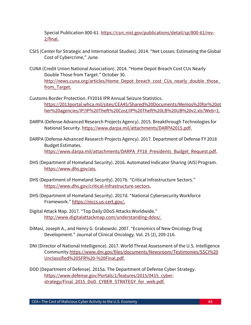Special Publication 800-61. [https://csrc.nist.gov/publications/detail/sp/800-61/rev-](https://csrc.nist.gov/publications/detail/sp/800-61/rev-2/final)[2/final.](https://csrc.nist.gov/publications/detail/sp/800-61/rev-2/final)

- CSIS (Center for Strategic and International Studies). 2014. "Net Losses: Estimating the Global Cost of Cybercrime," June.
- CUNA (Credit Union National Association). 2014. "Home Depot Breach Cost CUs Nearly Double Those from Target." October 30. [http://news.cuna.org/articles/Home\\_Depot\\_breach\\_cost\\_CUs\\_nearly\\_double\\_those\\_](http://news.cuna.org/articles/Home_Depot_breach_cost_CUs_nearly_double_those_from_Target.) from Target.
- Customs Border Protection. FY2016 IPR Annual Seizure Statistics. [https://2013portal.whca.mil/sites/CEA45/Shared%20Documents/Memos%20for%20ot](https://2013portal.whca.mil/sites/CEA45/Shared%20Documents/Memos%20for%20other%20agencies/IP/IP%20Theft%20Cost/IP%20Theft%20LB%20UB%20v2.xls?Web=1) [her%20agencies/IP/IP%20Theft%20Cost/IP%20Theft%20LB%20UB%20v2.xls?Web=1.](https://2013portal.whca.mil/sites/CEA45/Shared%20Documents/Memos%20for%20other%20agencies/IP/IP%20Theft%20Cost/IP%20Theft%20LB%20UB%20v2.xls?Web=1)
- DARPA (Defense Advanced Research Projects Agency). 2015. Breakthrough Technologies for National Security.<https://www.darpa.mil/attachments/DARPA2015.pdf.>
- DARPA (Defense Advanced Research Projects Agency). 2017. Department of Defense FY 2018 Budget Estimates. [https://www.darpa.mil/attachments/DARPA\\_FY18\\_Presidents\\_Budget\\_Request.pdf.](https://www.darpa.mil/attachments/DARPA_FY18_Presidents_Budget_Request.pdf)
- DHS (Department of Homeland Security). 2016. Automated Indicator Sharing (AIS) Program. [https://www.dhs.gov/ais.](https://www.dhs.gov/ais)
- DHS (Department of Homeland Security). 2017b. "Critical Infrastructure Sectors." [https://www.dhs.gov/critical-infrastructure-sectors.](https://www.dhs.gov/critical-infrastructure-sectors)
- DHS (Department of Homeland Security). 2017d. "National Cybersecurity Workforce Framework." [https://niccs.us-cert.gov/.](https://niccs.us-cert.gov/)
- Digital Attack Map. 2017. "Top Daily DDoS Attacks Worldwide." [http://www.digitalattackmap.com/understanding-ddos/.](http://www.digitalattackmap.com/understanding-ddos/)
- DiMasi, Joseph A., and Henry G. Grabowski. 2007. "Economics of New Oncology Drug Development." Journal of Clinical Oncology. Vol. 25 (2), 209-216.
- DNI (Director of National Intelligence). 2017. World Threat Assessment of the U.S. Intelligence Community[.https://www.dni.gov/files/documents/Newsroom/Testimonies/SSCI%20](https://www.dni.gov/files/documents/Newsroom/Testimonies/SSCI%20Unclassified%20SFR%20-%20Final.pdf) [Unclassified%20SFR%20-%20Final.pdf.](https://www.dni.gov/files/documents/Newsroom/Testimonies/SSCI%20Unclassified%20SFR%20-%20Final.pdf)
- DOD (Department of Defense). 2015a. The Department of Defense Cyber Strategy. [https://www.defense.gov/Portals/1/features/2015/0415\\_cyber](https://www.defense.gov/Portals/1/features/2015/0415_cyber-strategy/Final_2015_DoD_CYBER_STRATEGY_for_web.pdf)[strategy/Final\\_2015\\_DoD\\_CYBER\\_STRATEGY\\_for\\_web.pdf.](https://www.defense.gov/Portals/1/features/2015/0415_cyber-strategy/Final_2015_DoD_CYBER_STRATEGY_for_web.pdf)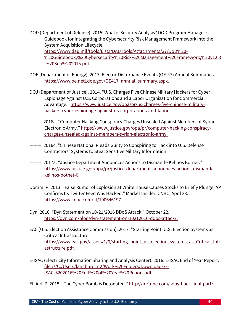- DOD (Department of Defense). 2015. What is Security Analysis? DOD Program Manager's Guidebook for Integrating the Cybersecurity Risk Management Framework into the System Acquisition Lifecycle. [https://www.dau.mil/tools/Lists/DAUTools/Attachments/37/DoD%20-](https://www.dau.mil/tools/Lists/DAUTools/Attachments/37/DoD%20-%20Guidebook,%20Cybersecurity%20Risk%20Management%20Framework,%20v1.08,%20Sep%202015.pdf) [%20Guidebook,%20Cybersecurity%20Risk%20Management%20Framework,%20v1.08](https://www.dau.mil/tools/Lists/DAUTools/Attachments/37/DoD%20-%20Guidebook,%20Cybersecurity%20Risk%20Management%20Framework,%20v1.08,%20Sep%202015.pdf) [,%20Sep%202015.pdf.](https://www.dau.mil/tools/Lists/DAUTools/Attachments/37/DoD%20-%20Guidebook,%20Cybersecurity%20Risk%20Management%20Framework,%20v1.08,%20Sep%202015.pdf)
- DOE (Department of Energy). 2017. Electric Disturbance Events (OE-47) Annual Summaries. [https://www.oe.netl.doe.gov/OE417\\_annual\\_summary.aspx.](https://www.oe.netl.doe.gov/OE417_annual_summary.aspx)
- DOJ (Department of Justice). 2014. "U.S. Charges Five Chinese Military Hackers for Cyber Espionage Against U.S. Corporations and a Labor Organization for Commercial Advantage." [https://www.justice.gov/opa/pr/us-charges-five-chinese-military](https://www.justice.gov/opa/pr/us-charges-five-chinese-military-hackers-cyber-espionage-against-us-corporations-and-labor)[hackers-cyber-espionage-against-us-corporations-and-labor.](https://www.justice.gov/opa/pr/us-charges-five-chinese-military-hackers-cyber-espionage-against-us-corporations-and-labor)
- ———. 2016a. "Computer Hacking Conspiracy Charges Unsealed Against Members of Syrian Electronic Army.[" https://www.justice.gov/opa/pr/computer-hacking-conspiracy](https://www.justice.gov/opa/pr/computer-hacking-conspiracy-charges-unsealed-against-members-syrian-electronic-army.)[charges-unsealed-against-members-syrian-electronic-army.](https://www.justice.gov/opa/pr/computer-hacking-conspiracy-charges-unsealed-against-members-syrian-electronic-army.)
- ———. 2016c. "Chinese National Pleads Guilty to Conspiring to Hack into U.S. Defense Contractors' Systems to Steal Sensitive Military Information."
- ———. 2017a. "Justice Department Announces Actions to Dismantle Kelihos Botnet." [https://www.justice.gov/opa/pr/justice-department-announces-actions-dismantle](https://www.justice.gov/opa/pr/justice-department-announces-actions-dismantle-kelihos-botnet-0)[kelihos-botnet-0.](https://www.justice.gov/opa/pr/justice-department-announces-actions-dismantle-kelihos-botnet-0)
- Domm, P. 2013. "False Rumor of Explosion at White House Causes Stocks to Briefly Plunge; AP Confirms Its Twitter Feed Was Hacked." Market Insider, CNBC, April 23. [https://www.cnbc.com/id/100646197.](https://www.cnbc.com/id/100646197)
- Dyn. 2016. "Dyn Statement on 10/21/2016 DDoS Attack." October 22. [https://dyn.com/blog/dyn-statement-on-10212016-ddos-attack/.](https://dyn.com/blog/dyn-statement-on-10212016-ddos-attack/)
- EAC (U.S. Election Assistance Commission). 2017. "Starting Point. U.S. Election Systems as Critical Infrastructure." [https://www.eac.gov/assets/1/6/starting\\_point\\_us\\_election\\_systems\\_as\\_Critical\\_Infr](https://www.eac.gov/assets/1/6/starting_point_us_election_systems_as_Critical_Infrastructure.pdf) [astructure.pdf.](https://www.eac.gov/assets/1/6/starting_point_us_election_systems_as_Critical_Infrastructure.pdf)
- E-ISAC (Electricity Information Sharing and Analysis Center). 2016. E-ISAC End of Year Report. file:///C:/Users/langburd\_n2/Work%20Folders/Downloads/E-ISAC%202016%20End%20of%20Year%20Report.pdf.

Elkind, P. 2015. "The Cyber Bomb is Detonated." [http://fortune.com/sony-hack-final-part/.](http://fortune.com/sony-hack-final-part/)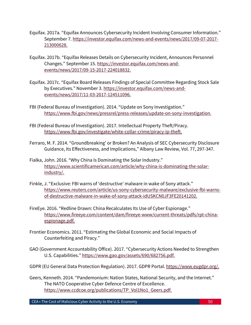- Equifax. 2017a. "Equifax Announces Cybersecurity Incident Involving Consumer Information." September 7[. https://investor.equifax.com/news-and-events/news/2017/09-07-2017-](https://investor.equifax.com/news-and-events/news/2017/09-07-2017-213000628) [213000628.](https://investor.equifax.com/news-and-events/news/2017/09-07-2017-213000628)
- Equifax. 2017b. "Equifax Releases Details on Cybersecurity Incident, Announces Personnel Changes." September 15. [https://investor.equifax.com/news-and](https://investor.equifax.com/news-and-events/news/2017/09-15-2017-224018832)[events/news/2017/09-15-2017-224018832.](https://investor.equifax.com/news-and-events/news/2017/09-15-2017-224018832)
- Equifax. 2017c. "Equifax Board Releases Findings of Special Committee Regarding Stock Sale by Executives." November 3[. https://investor.equifax.com/news-and](https://investor.equifax.com/news-and-events/news/2017/11-03-2017-124511096)[events/news/2017/11-03-2017-124511096.](https://investor.equifax.com/news-and-events/news/2017/11-03-2017-124511096)
- FBI (Federal Bureau of Investigation). 2014. "Update on Sony Investigation." [https://www.fbi.gov/news/pressrel/press-releases/update-on-sony-investigation.](https://www.fbi.gov/news/pressrel/press-releases/update-on-sony-investigation)
- FBI (Federal Bureau of Investigation). 2017. Intellectual Property Theft/Piracy. [https://www.fbi.gov/investigate/white-collar-crime/piracy-ip-theft.](https://www.fbi.gov/investigate/white-collar-crime/piracy-ip-theft)
- Ferraro, M. F. 2014. "Groundbreaking' or Broken? An Analysis of SEC Cybersecurity Disclosure Guidance, Its Effectiveness, and Implications," Albany Law Review, Vol. 77, 297-347.
- Fialka, John. 2016. "Why China Is Dominating the Solar Industry." [https://www.scientificamerican.com/article/why-china-is-dominating-the-solar](https://www.scientificamerican.com/article/why-china-is-dominating-the-solar-industry/)[industry/.](https://www.scientificamerican.com/article/why-china-is-dominating-the-solar-industry/)
- Finkle, J. "Exclusive: FBI warns of 'destructive' malware in wake of Sony attack." [https://www.reuters.com/article/us-sony-cybersecurity-malware/exclusive-fbi-warns](https://www.reuters.com/article/us-sony-cybersecurity-malware/exclusive-fbi-warns-of-destructive-malware-in-wake-of-sony-attack-idUSKCN0JF3FE20141202)[of-destructive-malware-in-wake-of-sony-attack-idUSKCN0JF3FE20141202.](https://www.reuters.com/article/us-sony-cybersecurity-malware/exclusive-fbi-warns-of-destructive-malware-in-wake-of-sony-attack-idUSKCN0JF3FE20141202)
- FireEye. 2016. "Redline Drawn: China Recalculates Its Use of Cyber Espionage." [https://www.fireeye.com/content/dam/fireeye-www/current-threats/pdfs/rpt-china](https://www.fireeye.com/content/dam/fireeye-www/current-threats/pdfs/rpt-china-espionage.pdf)[espionage.pdf.](https://www.fireeye.com/content/dam/fireeye-www/current-threats/pdfs/rpt-china-espionage.pdf)
- Frontier Economics. 2011. "Estimating the Global Economic and Social Impacts of Counterfeiting and Piracy."
- GAO (Government Accountability Office). 2017. "Cybersecurity Actions Needed to Strengthen U.S. Capabilities." [https://www.gao.gov/assets/690/682756.pdf.](https://www.gao.gov/assets/690/682756.pdf)
- GDPR (EU General Data Protection Regulation). 2017. GDPR Portal[. https://www.eugdpr.org/.](https://www.eugdpr.org/)
- Geers, Kenneth. 2014. "Pandemonium: Nation States, National Security, and the Internet." The NATO Cooperative Cyber Defence Centre of Excellence. [https://www.ccdcoe.org/publications/TP\\_Vol1No1\\_Geers.pdf.](https://www.ccdcoe.org/publications/TP_Vol1No1_Geers.pdf)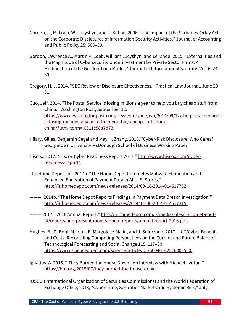- Gordon, L., M. Loeb, W. Lucyshyn, and T. Sohail. 2006. "The Impact of the Sarbanes-Oxley Act on the Corporate Disclosures of Information Security Activities." Journal of Accounting and Public Policy 25: 503–30.
- Gordon, Lawrence A., Martin P. Loeb, William Lucyshyn, and Lei Zhou. 2015. "Externalities and the Magnitude of Cybersecurity Underinvestment by Private Sector Firms: A Modification of the Gordon-Loeb Model," Journal of Informational Security, Vol. 6, 24- 30.
- Gregory, H. J. 2014. "SEC Review of Disclosure Effectiveness," Practical Law Journal, June 28- 31.
- Guo, Jeff. 2014. "The Postal Service is losing millions a year to help you buy cheap stuff from China." Washington Post, September 12. [https://www.washingtonpost.com/news/storyline/wp/2014/09/12/the-postal-service](https://www.washingtonpost.com/news/storyline/wp/2014/09/12/the-postal-service-is-losing-millions-a-year-to-help-you-buy-cheap-stuff-from-china/?utm_term=.6311c58a7d73)[is-losing-millions-a-year-to-help-you-buy-cheap-stuff-from](https://www.washingtonpost.com/news/storyline/wp/2014/09/12/the-postal-service-is-losing-millions-a-year-to-help-you-buy-cheap-stuff-from-china/?utm_term=.6311c58a7d73)[china/?utm\\_term=.6311c58a7d73.](https://www.washingtonpost.com/news/storyline/wp/2014/09/12/the-postal-service-is-losing-millions-a-year-to-help-you-buy-cheap-stuff-from-china/?utm_term=.6311c58a7d73)
- Hilary, Gilles, Benjamin Segal and May H. Zhang. 2016. "Cyber-Risk Disclosure: Who Cares?" Georgetown University McDonough School of Business Working Paper.
- Hiscox. 2017. "Hiscox Cyber Readiness Report 2017." [http://www.hiscox.com/cyber](http://www.hiscox.com/cyber-readiness-report/)[readiness-report/.](http://www.hiscox.com/cyber-readiness-report/)
- The Home Depot, Inc. 2014a. "The Home Depot Completes Malware Elimination and Enhanced Encryption of Payment Data in All U.S. Stores." <http://ir.homedepot.com/news-releases/2014/09-18-2014-014517752.>
- ———. 2014b. "The Home Depot Reports Findings in Payment Data Breach Investigation." <http://ir.homedepot.com/news-releases/2014/11-06-2014-014517315.>

----------2017. "2016 Annual Report.[" http://ir.homedepot.com/~/media/Files/H/HomeDepot-](http://ir.homedepot.com/%7E/media/Files/H/HomeDepot-IR/reports-and-presentations/annual-reports/annual-report-2016.pdf)[IR/reports-and-presentations/annual-reports/annual-report-2016.pdf.](http://ir.homedepot.com/%7E/media/Files/H/HomeDepot-IR/reports-and-presentations/annual-reports/annual-report-2016.pdf)

- Hughes, B., D. Bohl, M. Irfan, E. Margolese-Malin, and J. Solórzano. 2017. "ICT/Cyber Benefits and Costs: Reconciling Competing Perspectives on the Current and Future Balance." Technological Forecasting and Social Change 115: 117–30. [https://www.sciencedirect.com/science/article/pii/S0040162516303560.](https://www.sciencedirect.com/science/article/pii/S0040162516303560)
- Ignatius, A. 2015. "'They Burned the House Down': An Interview with Michael Lynton." [https://hbr.org/2015/07/they-burned-the-house-down.](https://hbr.org/2015/07/they-burned-the-house-down)
- IOSCO (International Organization of Securities Commissions) and the World Federation of Exchange Office, 2013, "Cybercrime, Securities Markets and Systemic Risk," July.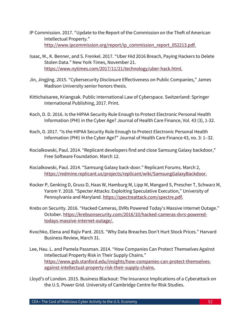- IP Commission. 2017. "Update to the Report of the Commission on the Theft of American Intellectual Property." http://www.ipcommission.org/report/ip\_commission\_report\_052213.pdf.
- Isaac, M., K. Benner, and S. Frenkel. 2017. "Uber Hid 2016 Breach, Paying Hackers to Delete Stolen Data." New York Times, November 21. <https://www.nytimes.com/2017/11/21/technology/uber-hack.html.>
- Jin, Jingjing. 2015. "Cybersecurity Disclosure Effectiveness on Public Companies," James Madison University senior honors thesis.
- Kittichaisaree, Kriangsak. Public International Law of Cyberspace. Switzerland: Springer International Publishing, 2017. Print.
- Koch, D. D. 2016. Is the HIPAA Security Rule Enough to Protect Electronic Personal Health Information (PHI) in the Cyber Age? Journal of Health Care Finance, Vol. 43 (3), 1-32.
- Koch, D. 2017. "Is the HIPAA Security Rule Enough to Protect Electronic Personal Health Information (PHI) in the Cyber Age?" Journal of Health Care Finance 43, no. 3: 1–32.
- Kocialkowski, Paul. 2014. "Replicant developers find and close Samsung Galaxy backdoor," Free Software Foundation. March 12.
- Kocialkowski, Paul. 2014. "Samsung Galaxy back-door." Replicant Forums. March 2, [https://redmine.replicant.us/projects/replicant/wiki/SamsungGalaxyBackdoor.](https://redmine.replicant.us/projects/replicant/wiki/SamsungGalaxyBackdoor)
- Kocker P, Genking D, Gruss D, Haas W, Hamburg M, Lipp M, Mangard S, Prescher T, Schwarz M, Yarom Y. 2018. "Specter Attacks: Exploiting Speculative Execution," University of Pennsylvania and Maryland.<https://spectreattack.com/spectre.pdf.>
- Krebs on Security. 2016. "Hacked Cameras, DVRs Powered Today's Massive Internet Outage." October. [https://krebsonsecurity.com/2016/10/hacked-cameras-dvrs-powered](https://krebsonsecurity.com/2016/10/hacked-cameras-dvrs-powered-todays-massive-internet-outage/)[todays-massive-internet-outage/.](https://krebsonsecurity.com/2016/10/hacked-cameras-dvrs-powered-todays-massive-internet-outage/)
- Kvochko, Elena and Rajiv Pant. 2015. "Why Data Breaches Don't Hurt Stock Prices." Harvard Business Review, March 31.
- Lee, Hau. L. and Pamela Passman. 2014. "How Companies Can Protect Themselves Against Intellectual Property Risk in Their Supply Chains." [https://www.gsb.stanford.edu/insights/how-companies-can-protect-themselves](https://www.gsb.stanford.edu/insights/how-companies-can-protect-themselves-against-intellectual-property-risk-their-supply-chains)[against-intellectual-property-risk-their-supply-chains.](https://www.gsb.stanford.edu/insights/how-companies-can-protect-themselves-against-intellectual-property-risk-their-supply-chains)
- Lloyd's of London. 2015. Business Blackout: The Insurance Implications of a Cyberattack on the U.S. Power Grid. University of Cambridge Centre for Risk Studies.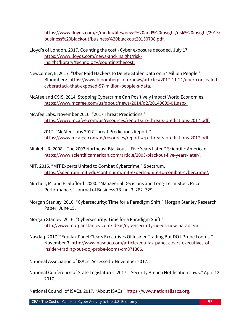[https://www.lloyds.com/~/media/files/news%20and%20insight/risk%20insight/2015/](https://www.lloyds.com/%7E/media/files/news%20and%20insight/risk%20insight/2015/business%20blackout/business%20blackout20150708.pdf) [business%20blackout/business%20blackout20150708.pdf.](https://www.lloyds.com/%7E/media/files/news%20and%20insight/risk%20insight/2015/business%20blackout/business%20blackout20150708.pdf)

- Lloyd's of London. 2017. Counting the cost Cyber exposure decoded. July 17. [https://www.lloyds.com/news-and-insight/risk](https://www.lloyds.com/news-and-insight/risk-insight/library/technology/countingthecost)[insight/library/technology/countingthecost.](https://www.lloyds.com/news-and-insight/risk-insight/library/technology/countingthecost)
- Newcomer, E. 2017. "Uber Paid Hackers to Delete Stolen Data on 57 Million People." Bloomberg. [https://www.bloomberg.com/news/articles/2017-11-21/uber-concealed](https://www.bloomberg.com/news/articles/2017-11-21/uber-concealed-cyberattack-that-exposed-57-million-people-s-data.)[cyberattack-that-exposed-57-million-people-s-data.](https://www.bloomberg.com/news/articles/2017-11-21/uber-concealed-cyberattack-that-exposed-57-million-people-s-data.)
- McAfee and CSIS. 2014. Stopping Cybercrime Can Positively Impact World Economies. [https://www.mcafee.com/us/about/news/2014/q2/20140609-01.aspx.](https://www.mcafee.com/us/about/news/2014/q2/20140609-01.aspx)
- McAfee Labs. November 2016. "2017 Threat Predictions." <https://www.mcafee.com/us/resources/reports/rp-threats-predictions-2017.pdf.>
- ———. 2017. "McAfee Labs 2017 Threat Predictions Report." <https://www.mcafee.com/us/resources/reports/rp-threats-predictions-2017.pdf.>
- Minkel, JR. 2008. "The 2003 Northeast Blackout---Five Years Later." Scientific American. [https://www.scientificamerican.com/article/2003-blackout-five-years-later/.](https://www.scientificamerican.com/article/2003-blackout-five-years-later/)
- MIT. 2015. "MIT Experts United to Combat Cybercrime," Spectrum. [https://spectrum.mit.edu/continuum/mit-experts-unite-to-combat-cybercrime/.](https://spectrum.mit.edu/continuum/mit-experts-unite-to-combat-cyber-crime/)
- Mitchell, M, and E. Stafford. 2000. "Managerial Decisions and Long-Term Stock Price Performance." Journal of Business 73, no. 3, 282–329.
- Morgan Stanley. 2016. "Cybersecurity: Time for a Paradigm Shift," Morgan Stanley Research Paper, June 15.
- Morgan Stanley. 2016. "Cybersecurity: Time for a Paradigm Shift." [http://www.morganstanley.com/ideas/cybersecurity-needs-new-paradigm.](http://www.morganstanley.com/ideas/cybersecurity-needs-new-paradigm)
- Nasdaq. 2017. "Equifax Panel Clears Executives Of Insider Trading But DOJ Probe Looms." November 3. [http://www.nasdaq.com/article/equifax-panel-clears-executives-of](http://www.nasdaq.com/article/equifax-panel-clears-executives-of-insider-trading-but-doj-probe-looms-cm871306)[insider-trading-but-doj-probe-looms-cm871306.](http://www.nasdaq.com/article/equifax-panel-clears-executives-of-insider-trading-but-doj-probe-looms-cm871306)

National Association of ISACs. Accessed 7 November 2017.

National Conference of State Legislatures. 2017. "Security Breach Notification Laws." April 12, 2017.

National Council of ISACs. 2017. "About ISACs." [https://www.nationalisacs.org.](https://www.nationalisacs.org/)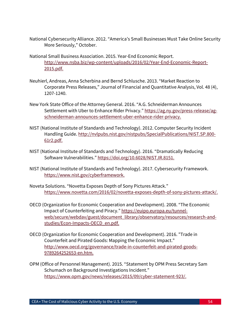- National Cybersecurity Alliance. 2012. "America's Small Businesses Must Take Online Security More Seriously," October.
- National Small Business Association. 2015. Year-End Economic Report. [http://www.nsba.biz/wp-content/uploads/2016/02/Year-End-Economic-Report-](http://www.nsba.biz/wp-content/uploads/2016/02/Year-End-Economic-Report-2015.pdf)[2015.pdf.](http://www.nsba.biz/wp-content/uploads/2016/02/Year-End-Economic-Report-2015.pdf)
- Neuhierl, Andreas, Anna Scherbina and Bernd Schlusche. 2013. "Market Reaction to Corporate Press Releases," Journal of Financial and Quantitative Analysis, Vol. 48 (4), 1207-1240.
- New York State Office of the Attorney General. 2016. "A.G. Schneiderman Announces Settlement with Uber to Enhance Rider Privacy.[" https://ag.ny.gov/press-release/ag](https://ag.ny.gov/press-release/ag-schneiderman-announces-settlement-uber-enhance-rider-privacy.)[schneiderman-announces-settlement-uber-enhance-rider-privacy.](https://ag.ny.gov/press-release/ag-schneiderman-announces-settlement-uber-enhance-rider-privacy.)
- NIST (National Institute of Standards and Technology). 2012. Computer Security Incident Handling Guide. [http://nvlpubs.nist.gov/nistpubs/SpecialPublications/NIST.SP.800-](http://nvlpubs.nist.gov/nistpubs/SpecialPublications/NIST.SP.800-61r2.pdf) [61r2.pdf.](http://nvlpubs.nist.gov/nistpubs/SpecialPublications/NIST.SP.800-61r2.pdf)
- NIST (National Institute of Standards and Technology). 2016. "Dramatically Reducing Software Vulnerabilities."<https://doi.org/10.6028/NIST.IR.8151.>
- NIST (National Institute of Standards and Technology). 2017. Cybersecurity Framework. [https://www.nist.gov/cyberframework.](https://www.nist.gov/cyberframework)
- Noveta Solutions. "Novetta Exposes Depth of Sony Pictures Attack." [https://www.novetta.com/2016/02/novetta-exposes-depth-of-sony-pictures-attack/.](https://www.novetta.com/2016/02/novetta-exposes-depth-of-sony-pictures-attack/)
- OECD (Organization for Economic Cooperation and Development). 2008. "The Economic Impact of Counterfeiting and Piracy.[" https://euipo.europa.eu/tunnel](https://euipo.europa.eu/tunnel-web/secure/webdav/guest/document_library/observatory/resources/research-and-studies/Econ-Impacts-OECD_en.pdf)[web/secure/webdav/guest/document\\_library/observatory/resources/research-and](https://euipo.europa.eu/tunnel-web/secure/webdav/guest/document_library/observatory/resources/research-and-studies/Econ-Impacts-OECD_en.pdf)[studies/Econ-Impacts-OECD\\_en.pdf.](https://euipo.europa.eu/tunnel-web/secure/webdav/guest/document_library/observatory/resources/research-and-studies/Econ-Impacts-OECD_en.pdf)
- OECD (Organization for Economic Cooperation and Development). 2016. "Trade in Counterfeit and Pirated Goods: Mapping the Economic Impact." [http://www.oecd.org/governance/trade-in-counterfeit-and-pirated-goods-](http://www.oecd.org/governance/trade-in-counterfeit-and-pirated-goods-9789264252653-en.htm)[9789264252653-en.htm.](http://www.oecd.org/governance/trade-in-counterfeit-and-pirated-goods-9789264252653-en.htm)
- OPM (Office of Personnel Management). 2015. "Statement by OPM Press Secretary Sam Schumach on Background Investigations Incident." [https://www.opm.gov/news/releases/2015/09/cyber-statement-923/.](https://www.opm.gov/news/releases/2015/09/cyber-statement-923/)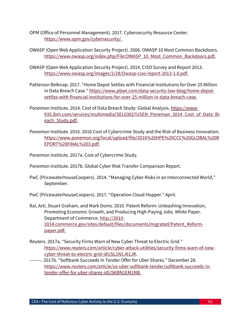- OPM (Office of Personnel Management). 2017. Cybersecurity Resource Center. [https://www.opm.gov/cybersecurity/.](https://www.opm.gov/cybersecurity/)
- OWASP (Open Web Application Security Project). 2006. OWASP 10 Most Common Backdoors. [https://www.owasp.org/index.php/File:OWASP\\_10\\_Most\\_Common\\_Backdoors.pdf.](https://www.owasp.org/index.php/File:OWASP_10_Most_Common_Backdoors.pdf)
- OWASP (Open Web Application Security Project). 2014. CISO Survey and Report 2013. [https://www.owasp.org/images/2/28/Owasp-ciso-report-2013-1.0.pdf.](https://www.owasp.org/images/2/28/Owasp-ciso-report-2013-1.0.pdf)
- Patterson Belknap. 2017. "Home Depot Settles with Financial Institutions for Over 25 Million in Data Breach Case." [https://www.pbwt.com/data-security-law-blog/home-depot](https://www.pbwt.com/data-security-law-blog/home-depot-settles-with-financial-institutions-for-over-25-million-in-data-breach-case.)[settles-with-financial-institutions-for-over-25-million-in-data-breach-case.](https://www.pbwt.com/data-security-law-blog/home-depot-settles-with-financial-institutions-for-over-25-million-in-data-breach-case.)
- Ponemon Institute. 2014. Cost of Data Breach Study: Global Analysis. [https://www-](https://www-935.ibm.com/services/multimedia/SEL03027USEN_Poneman_2014_Cost_of_Data_Breach_Study.pdf.)[935.ibm.com/services/multimedia/SEL03027USEN\\_Poneman\\_2014\\_Cost\\_of\\_Data\\_Br](https://www-935.ibm.com/services/multimedia/SEL03027USEN_Poneman_2014_Cost_of_Data_Breach_Study.pdf.) [each\\_Study.pdf.](https://www-935.ibm.com/services/multimedia/SEL03027USEN_Poneman_2014_Cost_of_Data_Breach_Study.pdf.)
- Ponemon Institute. 2016. 2016 Cost of Cybercrime Study and the Risk of Business Innovation. [https://www.ponemon.org/local/upload/file/2016%20HPE%20CCC%20GLOBAL%20R](https://www.ponemon.org/local/upload/file/2016%20HPE%20CCC%20GLOBAL%20REPORT%20FINAL%203.pdf) [EPORT%20FINAL%203.pdf.](https://www.ponemon.org/local/upload/file/2016%20HPE%20CCC%20GLOBAL%20REPORT%20FINAL%203.pdf)

Ponemon Institute. 2017a. Cost of Cybercrime Study.

- Ponemon Institute. 2017b. Global Cyber Risk Transfer Comparison Report.
- PwC (PricewaterhouseCoopers). 2014. "Managing Cyber Risks in an Interconnected World," September.
- PwC (PricewaterhouseCoopers). 2017. "Operation Cloud Hopper." April.
- Rai, Arti, Stuart Graham, and Mark Doms. 2010. Patent Reform: Unleashing Innovation, Promoting Economic Growth, and Producing High-Paying Jobs. White Paper. Department of Commerce. [http://2010-](http://2010-2014.commerce.gov/sites/default/files/documents/migrated/Patent_Reform-paper.pdf) [2014.commerce.gov/sites/default/files/documents/migrated/Patent\\_Reform](http://2010-2014.commerce.gov/sites/default/files/documents/migrated/Patent_Reform-paper.pdf)[paper.pdf.](http://2010-2014.commerce.gov/sites/default/files/documents/migrated/Patent_Reform-paper.pdf)
- Reuters. 2017a. "Security Firms Warn of New Cyber Threat to Electric Grid." [https://www.reuters.com/article/cyber-attack-utilities/security-firms-warn-of-new](https://www.reuters.com/article/cyber-attack-utilities/security-firms-warn-of-new-cyber-threat-to-electric-grid-idUSL1N1J61JK)[cyber-threat-to-electric-grid-idUSL1N1J61JK.](https://www.reuters.com/article/cyber-attack-utilities/security-firms-warn-of-new-cyber-threat-to-electric-grid-idUSL1N1J61JK)
- ———. 2017b. "Softbank Succeeds in Tender Offer for Uber Shares." December 28. [https://www.reuters.com/article/us-uber-softbank-tender/softbank-succeeds-in](https://www.reuters.com/article/us-uber-softbank-tender/softbank-succeeds-in-tender-offer-for-uber-shares-idUSKBN1EM1NB.)[tender-offer-for-uber-shares-idUSKBN1EM1NB.](https://www.reuters.com/article/us-uber-softbank-tender/softbank-succeeds-in-tender-offer-for-uber-shares-idUSKBN1EM1NB.)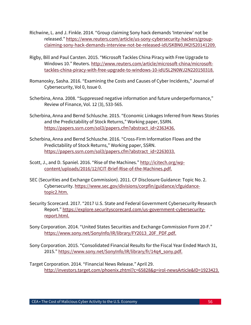- Richwine, L. and J. Finkle. 2014. "Group claiming Sony hack demands 'Interview' not be released." [https://www.reuters.com/article/us-sony-cybersecurity-hackers/group](https://www.reuters.com/article/us-sony-cybersecurity-hackers/group-claiming-sony-hack-demands-interview-not-be-released-idUSKBN0JM2IS20141209)[claiming-sony-hack-demands-interview-not-be-released-idUSKBN0JM2IS20141209.](https://www.reuters.com/article/us-sony-cybersecurity-hackers/group-claiming-sony-hack-demands-interview-not-be-released-idUSKBN0JM2IS20141209)
- Rigby, Bill and Paul Carsten. 2015. "Microsoft Tackles China Piracy with Free Upgrade to Windows 10." Reuters[. http://www.reuters.com/article/microsoft-china/microsoft](http://www.reuters.com/article/microsoft-china/microsoft-tackles-china-piracy-with-free-upgrade-to-windows-10-idUSL2N0WJ2N220150318)[tackles-china-piracy-with-free-upgrade-to-windows-10-idUSL2N0WJ2N220150318.](http://www.reuters.com/article/microsoft-china/microsoft-tackles-china-piracy-with-free-upgrade-to-windows-10-idUSL2N0WJ2N220150318)
- Romanosky, Sasha. 2016. "Examining the Costs and Causes of Cyber Incidents," Journal of Cybersecurity, Vol 0, Issue 0.
- Scherbina, Anna. 2008. ["Suppressed negative information and future underperformance,](javascript:void(0))" Review of Finance, Vol. 12 (3), 533-565.
- Scherbina, Anna and Bernd Schlusche. 2015. "Economic Linkages Inferred from News Stories and the Predictability of Stock Returns," Working paper, SSRN. [https://papers.ssrn.com/sol3/papers.cfm?abstract\\_id=2363436.](https://papers.ssrn.com/sol3/papers.cfm?abstract_id=2363436)
- Scherbina, Anna and Bernd Schlusche. 2016. "Cross-Firm Information Flows and the Predictability of Stock Returns," Working paper, SSRN. [https://papers.ssrn.com/sol3/papers.cfm?abstract\\_id=2263033.](https://papers.ssrn.com/sol3/papers.cfm?abstract_id=2263033)
- Scott, J., and D. Spaniel. 2016. "Rise of the Machines." [http://icitech.org/wp](http://icitech.org/wp-content/uploads/2016/12/ICIT-Brief-Rise-of-the-Machines.pdf.)[content/uploads/2016/12/ICIT-Brief-Rise-of-the-Machines.pdf.](http://icitech.org/wp-content/uploads/2016/12/ICIT-Brief-Rise-of-the-Machines.pdf.)
- SEC (Securities and Exchange Commission). 2011. CF Disclosure Guidance: Topic No. 2. Cybersecurity. [https://www.sec.gov/divisions/corpfin/guidance/cfguidance](https://www.sec.gov/divisions/corpfin/guidance/cfguidance-topic2.htm.)[topic2.htm.](https://www.sec.gov/divisions/corpfin/guidance/cfguidance-topic2.htm.)
- Security Scorecard. 2017. "2017 U.S. State and Federal Government Cybersecurity Research Report.[" https://explore.securityscorecard.com/us-government-cybersecurity](https://explore.securityscorecard.com/us-government-cybersecurity-report.html)[report.html.](https://explore.securityscorecard.com/us-government-cybersecurity-report.html)
- Sony Corporation. 2014. "United States Securities and Exchange Commission Form 20-F." [https://www.sony.net/SonyInfo/IR/library/FY2013\\_20F\\_PDF.pdf.](https://www.sony.net/SonyInfo/IR/library/FY2013_20F_PDF.pdf)
- Sony Corporation. 2015. "Consolidated Financial Results for the Fiscal Year Ended March 31, 2015." [https://www.sony.net/SonyInfo/IR/library/fr/14q4\\_sony.pdf.](https://www.sony.net/SonyInfo/IR/library/fr/14q4_sony.pdf)
- Target Corporation. 2014. "Financial News Release." April 29. <http://investors.target.com/phoenix.zhtml?c=65828&p=irol-newsArticle&ID=1923423.>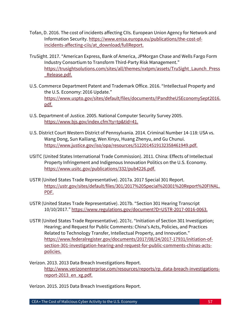- Tofan, D. 2016. The cost of incidents affecting CIIs. European Union Agency for Network and Information Security. [https://www.enisa.europa.eu/publications/the-cost-of](https://www.enisa.europa.eu/publications/the-cost-of-incidents-affecting-ciis/at_download/fullReport)[incidents-affecting-ciis/at\\_download/fullReport.](https://www.enisa.europa.eu/publications/the-cost-of-incidents-affecting-ciis/at_download/fullReport)
- TruSight. 2017. "American Express, Bank of America, JPMorgan Chase and Wells Fargo Form Industry Consortium to Transform Third-Party Risk Management." [https://trusightsolutions.com/sites/all/themes/nxtpm/assets/TruSight\\_Launch\\_Press](https://trusightsolutions.com/sites/all/themes/nxtpm/assets/TruSight_Launch_Press_Release.pdf.) [\\_Release.pdf.](https://trusightsolutions.com/sites/all/themes/nxtpm/assets/TruSight_Launch_Press_Release.pdf.)
- U.S. Commerce Department Patent and Trademark Office. 2016. "Intellectual Property and the U.S. Economy: 2016 Update." [https://www.uspto.gov/sites/default/files/documents/IPandtheUSEconomySept2016.](https://www.uspto.gov/sites/default/files/documents/IPandtheUSEconomySept2016.pdf) [pdf.](https://www.uspto.gov/sites/default/files/documents/IPandtheUSEconomySept2016.pdf)
- U.S. Department of Justice. 2005. National Computer Security Survey 2005. [https://www.bjs.gov/index.cfm?ty=tp&tid=41.](https://www.bjs.gov/index.cfm?ty=tp&tid=41)
- U.S. District Court Western District of Pennsylvania. 2014. Criminal Number 14-118: USA vs. Wang Dong, Sun Kailiang, Wen Xinyu, Huang Zhenyu, and Gu Chunui. [https://www.justice.gov/iso/opa/resources/5122014519132358461949.pdf.](https://www.justice.gov/iso/opa/resources/5122014519132358461949.pdf)
- USITC (United States International Trade Commission). 2011. China: Effects of Intellectual Property Infringement and Indigenous Innovation Politics on the U.S. Economy. [https://www.usitc.gov/publications/332/pub4226.pdf.](https://www.usitc.gov/publications/332/pub4226.pdf)
- USTR (United States Trade Representative). 2017a. 2017 Special 301 Report. [https://ustr.gov/sites/default/files/301/2017%20Special%20301%20Report%20FINAL.](https://ustr.gov/sites/default/files/301/2017%20Special%20301%20Report%20FINAL.PDF) [PDF.](https://ustr.gov/sites/default/files/301/2017%20Special%20301%20Report%20FINAL.PDF)
- USTR (United States Trade Representative). 2017b. "Section 301 Hearing Transcript 10/10/2017.[" https://www.regulations.gov/document?D=USTR-2017-0016-0063.](https://www.regulations.gov/document?D=USTR-2017-0016-0063)
- USTR (United States Trade Representative). 2017c. "Initiation of Section 301 Investigation; Hearing; and Request for Public Comments: China's Acts, Policies, and Practices Related to Technology Transfer, Intellectual Property, and Innovation." [https://www.federalregister.gov/documents/2017/08/24/2017-17931/initiation-of](https://www.federalregister.gov/documents/2017/08/24/2017-17931/initiation-of-section-301-investigation-hearing-and-request-for-public-comments-chinas-acts-policies.)[section-301-investigation-hearing-and-request-for-public-comments-chinas-acts](https://www.federalregister.gov/documents/2017/08/24/2017-17931/initiation-of-section-301-investigation-hearing-and-request-for-public-comments-chinas-acts-policies.)[policies.](https://www.federalregister.gov/documents/2017/08/24/2017-17931/initiation-of-section-301-investigation-hearing-and-request-for-public-comments-chinas-acts-policies.)
- Verizon. 2013. 2013 Data Breach Investigations Report. [http://www.verizonenterprise.com/resources/reports/rp\\_data-breach-investigations](http://www.verizonenterprise.com/resources/reports/rp_data-breach-investigations-report-2013_en_xg.pdf)report-2013 en xg.pdf.

Verizon. 2015. 2015 Data Breach Investigations Report.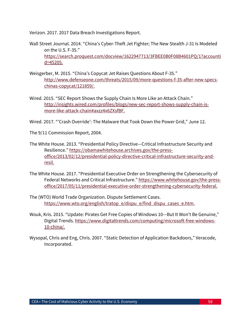Verizon. 2017. 2017 Data Breach Investigations Report.

- Wall Street Journal. 2014. "China's Cyber-Theft Jet Fighter; The New Stealth J-31 Is Modeled on the U.S. F-35." [https://search.proquest.com/docview/1622947713/3FBEE0B0F08B4601PQ/1?accounti](https://search.proquest.com/docview/1622947713/3FBEE0B0F08B4601PQ/1?accountid=45205.) [d=45205.](https://search.proquest.com/docview/1622947713/3FBEE0B0F08B4601PQ/1?accountid=45205.)
- Weisgerber, M. 2015. "China's Copycat Jet Raises Questions About F-35." [http://www.defenseone.com/threats/2015/09/more-questions-f-35-after-new-specs](http://www.defenseone.com/threats/2015/09/more-questions-f-35-after-new-specs-chinas-copycat/121859/)[chinas-copycat/121859/.](http://www.defenseone.com/threats/2015/09/more-questions-f-35-after-new-specs-chinas-copycat/121859/)
- Wired. 2015. "SEC Report Shows the Supply Chain Is More Like an Attack Chain." [http://insights.wired.com/profiles/blogs/new-sec-report-shows-supply-chain-is](http://insights.wired.com/profiles/blogs/new-sec-report-shows-supply-chain-is-more-like-attack-chain%23axzz4x6ZXsfBF.)[more-like-attack-chain#axzz4x6ZXsfBF.](http://insights.wired.com/profiles/blogs/new-sec-report-shows-supply-chain-is-more-like-attack-chain%23axzz4x6ZXsfBF.)
- Wired. 2017. "'Crash Override': The Malware that Took Down the Power Grid," June 12.

The 9/11 Commission Report, 2004.

- The White House. 2013. "Presidential Policy Directive—Critical Infrastructure Security and Resilience." [https://obamawhitehouse.archives.gov/the-press](https://obamawhitehouse.archives.gov/the-press-office/2013/02/12/presidential-policy-directive-critical-infrastructure-security-and-resil)[office/2013/02/12/presidential-policy-directive-critical-infrastructure-security-and](https://obamawhitehouse.archives.gov/the-press-office/2013/02/12/presidential-policy-directive-critical-infrastructure-security-and-resil)[resil.](https://obamawhitehouse.archives.gov/the-press-office/2013/02/12/presidential-policy-directive-critical-infrastructure-security-and-resil)
- The White House. 2017. "Presidential Executive Order on Strengthening the Cybersecurity of Federal Networks and Critical Infrastructure." [https://www.whitehouse.gov/the-press](https://www.whitehouse.gov/the-press-office/2017/05/11/presidential-executive-order-strengthening-cybersecurity-federal)[office/2017/05/11/presidential-executive-order-strengthening-cybersecurity-federal.](https://www.whitehouse.gov/the-press-office/2017/05/11/presidential-executive-order-strengthening-cybersecurity-federal)
- The (WTO) World Trade Organization. Dispute Settlement Cases. https://www.wto.org/english/tratop\_e/dispu\_e/find\_dispu\_cases\_e.htm.
- Wouk, Kris. 2015. "Update: Pirates Get Free Copies of Windows 10—But It Won't Be Genuine," Digital Trends. [https://www.digitaltrends.com/computing/microsoft-free-windows-](https://www.digitaltrends.com/computing/microsoft-free-windows-10-china/)[10-china/.](https://www.digitaltrends.com/computing/microsoft-free-windows-10-china/)
- Wysopal, Chris and Eng, Chris. 2007. "Static Detection of Application Backdoors," Veracode, Incorporated.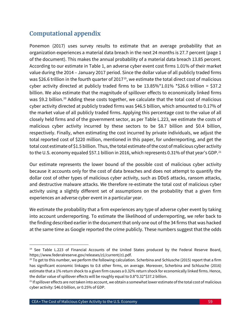# **Computational appendix**

Ponemon (2017) uses survey results to estimate that an average probability that an organization experiences a material data breach in the next 24 months is 27.7 percent (page 1 of the document). This makes the annual probability of a material data breach 13.85 percent. According to our estimate in Table 1, an adverse cyber event cost firms 1.01% of their market value during the 2014 – January 2017 period. Since the dollar value of all publicly traded firms was \$26.6 trillion in the fourth quarter of 2017<sup>19</sup>, we estimate the total direct cost of malicious cyber activity directed at publicly traded firms to be  $13.85\%$ \*1.01% \*\$26.6 trillion = \$37.2 billion. We also estimate that the magnitude of spillover effects to economically linked firms was \$9.2 billion.<sup>[20](#page-59-1)</sup> Adding these costs together, we calculate that the total cost of malicious cyber activity directed at publicly traded firms was \$46.5 billion, which amounted to 0.17% of the market value of all publicly traded firms. Applying this percentage cost to the value of all closely held firms and of the government sector, as per Table L.223, we estimate the costs of malicious cyber activity incurred by these sectors to be \$8.7 billion and \$0.4 billion, respectively. Finally, when estimating the cost incurred by private individuals, we adjust the total reported cost of \$220 million, mentioned in this paper, for underreporting, and get the total cost estimate of \$1.5 billion. Thus, the total estimate of the cost of malicious cyber activity to the U.S. economy equaled \$57.1 billion in 2016, which represents 0.31% of that year's GDP.<sup>[21](#page-59-2)</sup>

Our estimate represents the lower bound of the possible cost of malicious cyber activity because it accounts only for the cost of data breaches and does not attempt to quantify the dollar cost of other types of malicious cyber activity, such as DDoS attacks, ransom attacks, and destructive malware attacks. We therefore re-estimate the total cost of malicious cyber activity using a slightly different set of assumptions on the probability that a given firm experiences an adverse cyber event in a particular year.

We estimate the probability that a firm experiences any type of adverse cyber event by taking into account underreporting. To estimate the likelihood of underreporting, we refer back to the finding described earlier in the document that only one out of the 34 firms that was hacked at the same time as Google reported the crime publicly. These numbers suggest that the odds

<span id="page-59-0"></span><sup>&</sup>lt;sup>19</sup> See Table L.223 of Financial Accounts of the United States produced by the Federal Reserve Board, https://www.federalreserve.gov/releases/z1/current/z1.pdf.

<span id="page-59-1"></span> $20$  To get to this number, we perform the following calculation. Scherbina and Schlusche (2015) report that a firm has significant economic linkages to 0.8 other firms, on average. Moreover, Scherbina and Schlusche (2016) estimate that a 1% return shock to a given firm causes a 0.32% return shock for economically linked firms. Hence, the dollar value of spillover effects will be roughly equal to 0.8\*0.32\*\$37.2 billion.

<span id="page-59-2"></span> $21$  If spillover effects are not taken into account, we obtain a somewhat lower estimate of the total cost of malicious cyber activity: \$46.0 billion, or 0.25% of GDP.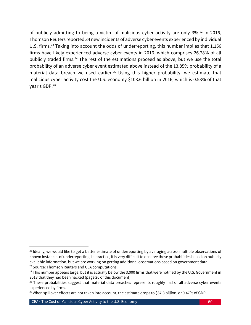of publicly admitting to being a victim of malicious cyber activity are only 3%.<sup>[22](#page-60-0)</sup> In 2016, Thomson Reuters reported 34 new incidents of adverse cyber events experienced by individual U.S. firms.<sup>[23](#page-60-1)</sup> Taking into account the odds of underreporting, this number implies that 1,156 firms have likely experienced adverse cyber events in 2016, which comprises 26.78% of all publicly traded firms.<sup>[24](#page-60-2)</sup> The rest of the estimations proceed as above, but we use the total probability of an adverse cyber event estimated above instead of the 13.85% probability of a material data breach we used earlier.<sup>[25](#page-60-3)</sup> Using this higher probability, we estimate that malicious cyber activity cost the U.S. economy \$108.6 billion in 2016, which is 0.58% of that year's GDP.[26](#page-60-4)

CEA • The Cost of Malicious Cyber Activity to the U.S. Economy 60 and 10 million control of the U.S. Economy 60

<span id="page-60-0"></span><sup>&</sup>lt;sup>22</sup> Ideally, we would like to get a better estimate of underreporting by averaging across multiple observations of known instances of underreporting. In practice, it is very difficult to observe these probabilities based on publicly available information, but we are working on getting additional observations based on government data.<br><sup>23</sup> Source: Thomson Reuters and CEA computations.

<span id="page-60-2"></span><span id="page-60-1"></span> $24$  This number appears large, but it is actually below the 3,000 firms that were notified by the U.S. Government in 2013 that they had been hacked (page 26 of this document).

<span id="page-60-3"></span> $25$  These probabilities suggest that material data breaches represents roughly half of all adverse cyber events experienced by firms.

<span id="page-60-4"></span><sup>&</sup>lt;sup>26</sup> When spillover effects are not taken into account, the estimate drops to \$87.3 billion, or 0.47% of GDP.